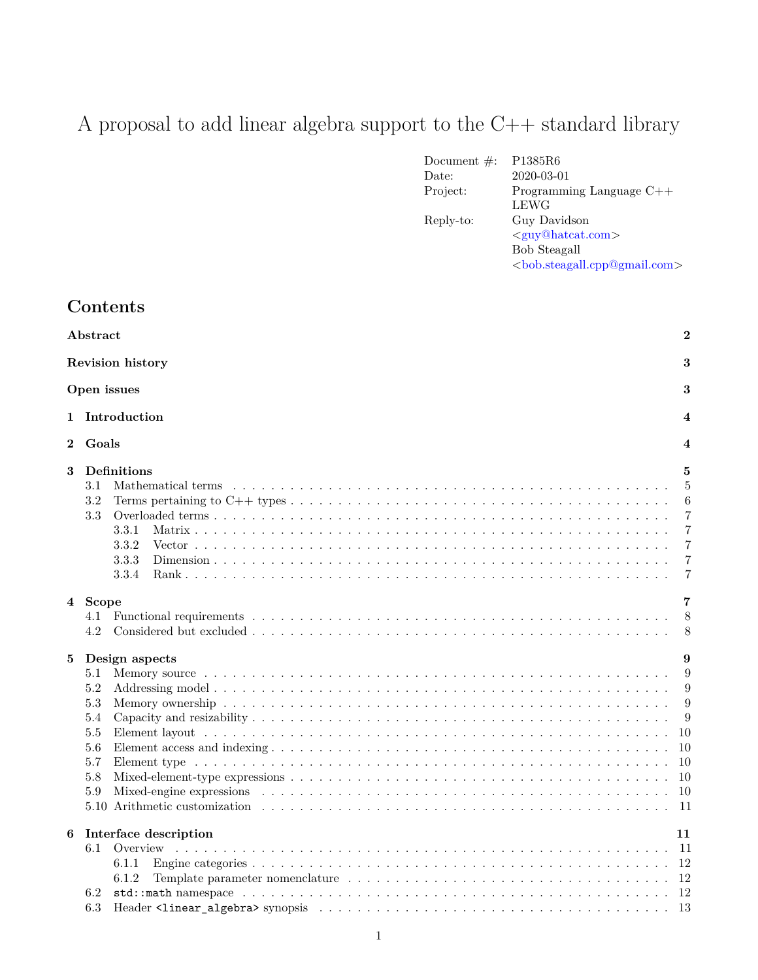# A proposal to add linear algebra support to the C++ standard library

| Document $\#$ : | P1385R6                           |
|-----------------|-----------------------------------|
| Date:           | 2020-03-01                        |
| Project:        | Programming Language $C++$        |
|                 | LEWG                              |
| Reply-to:       | Guy Davidson                      |
|                 | $\langle$ guy@hatcat.com>         |
|                 | <b>Bob Steagall</b>               |
|                 | $  bob$ steagal.cpp@gmail.com $>$ |
|                 |                                   |

# **Contents**

|          | $\overline{2}$<br>Abstract                                                            |                                                                                                                    |  |  |  |  |  |
|----------|---------------------------------------------------------------------------------------|--------------------------------------------------------------------------------------------------------------------|--|--|--|--|--|
|          | Revision history<br>3                                                                 |                                                                                                                    |  |  |  |  |  |
|          | 3<br>Open issues                                                                      |                                                                                                                    |  |  |  |  |  |
|          | 1 Introduction                                                                        |                                                                                                                    |  |  |  |  |  |
| $\bf{2}$ | Goals                                                                                 |                                                                                                                    |  |  |  |  |  |
| $\bf{3}$ | Definitions<br>3.1<br>3.2<br>3.3<br>3.3.1<br>3.3.2<br>3.3.3<br>3.3.4                  | 5<br>$\overline{5}$<br>6<br>$\overline{7}$<br>$\overline{7}$<br>$\overline{7}$<br>$\overline{7}$<br>$\overline{7}$ |  |  |  |  |  |
|          | 4 Scope<br>4.1<br>4.2                                                                 | 7<br>8<br>8                                                                                                        |  |  |  |  |  |
| 5        | Design aspects<br>5.1<br>5.2<br>$5.3\,$<br>5.4<br>$5.5\,$<br>5.6<br>5.7<br>5.8<br>5.9 | 9<br>9<br>9<br>9<br>9<br>10<br>10<br>10<br>10<br>-11                                                               |  |  |  |  |  |
| 6        | Interface description<br>6.1<br>Overview<br>6.1.1<br>6.1.2<br>6.2<br>6.3              | 11<br>-13                                                                                                          |  |  |  |  |  |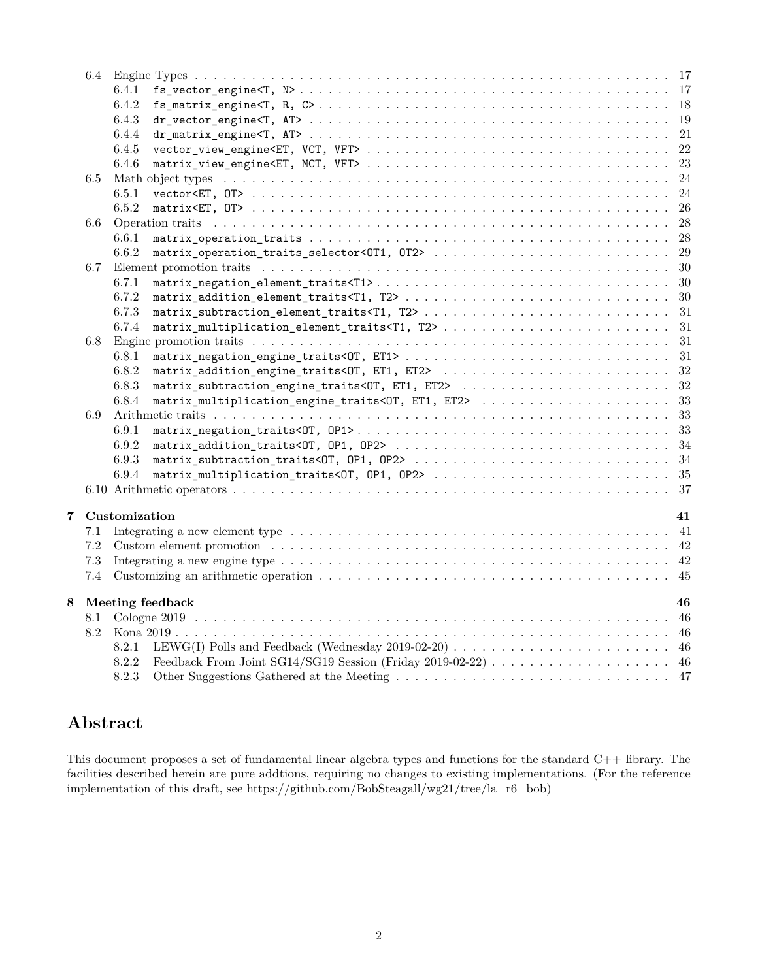|                       |         | 6.4.1                                                                                                                                                                                                                          |    |
|-----------------------|---------|--------------------------------------------------------------------------------------------------------------------------------------------------------------------------------------------------------------------------------|----|
|                       |         | 6.4.2                                                                                                                                                                                                                          |    |
|                       |         | 6.4.3                                                                                                                                                                                                                          |    |
|                       |         | 6.4.4                                                                                                                                                                                                                          |    |
|                       |         | 6.4.5                                                                                                                                                                                                                          |    |
|                       |         | 6.4.6                                                                                                                                                                                                                          |    |
|                       | 6.5     |                                                                                                                                                                                                                                |    |
|                       |         | 6.5.1                                                                                                                                                                                                                          |    |
|                       |         | 6.5.2                                                                                                                                                                                                                          |    |
|                       | $6.6\,$ |                                                                                                                                                                                                                                |    |
|                       |         | 6.6.1                                                                                                                                                                                                                          |    |
|                       |         | 6.6.2                                                                                                                                                                                                                          |    |
|                       | 6.7     |                                                                                                                                                                                                                                | 30 |
|                       |         | 6.7.1                                                                                                                                                                                                                          |    |
|                       |         | 6.7.2                                                                                                                                                                                                                          | 30 |
|                       |         | 6.7.3                                                                                                                                                                                                                          |    |
|                       |         | 6.7.4                                                                                                                                                                                                                          |    |
|                       | 6.8     |                                                                                                                                                                                                                                |    |
|                       |         | 6.8.1                                                                                                                                                                                                                          |    |
|                       |         | 6.8.2                                                                                                                                                                                                                          |    |
|                       |         | 6.8.3                                                                                                                                                                                                                          |    |
|                       |         | matrix_multiplication_engine_traits<0T, ET1, ET2>  33<br>6.8.4                                                                                                                                                                 |    |
|                       | 6.9     |                                                                                                                                                                                                                                |    |
|                       |         | 6.9.1                                                                                                                                                                                                                          |    |
|                       |         | 6.9.2                                                                                                                                                                                                                          |    |
|                       |         | 6.9.3                                                                                                                                                                                                                          |    |
|                       |         | 6.9.4                                                                                                                                                                                                                          |    |
|                       |         |                                                                                                                                                                                                                                |    |
| 7                     |         | Customization                                                                                                                                                                                                                  | 41 |
|                       | 7.1     |                                                                                                                                                                                                                                |    |
|                       | $7.2\,$ | Custom element promotion (a) is a series of the contract of the contract of the contract of the contract of the contract of the contract of the contract of the contract of the contract of the contract of the contract of th |    |
|                       | $7.3\,$ |                                                                                                                                                                                                                                |    |
|                       | 7.4     |                                                                                                                                                                                                                                |    |
|                       |         |                                                                                                                                                                                                                                |    |
| Meeting feedback<br>8 |         |                                                                                                                                                                                                                                | 46 |
|                       | 8.1     |                                                                                                                                                                                                                                |    |
|                       | 8.2     |                                                                                                                                                                                                                                |    |
|                       |         | 8.2.1                                                                                                                                                                                                                          |    |
|                       |         | 8.2.2                                                                                                                                                                                                                          |    |
|                       |         | 8.2.3                                                                                                                                                                                                                          |    |

# <span id="page-1-0"></span>**Abstract**

This document proposes a set of fundamental linear algebra types and functions for the standard C++ library. The facilities described herein are pure addtions, requiring no changes to existing implementations. (For the reference implementation of this draft, see https://github.com/BobSteagall/wg21/tree/la\_r6\_bob)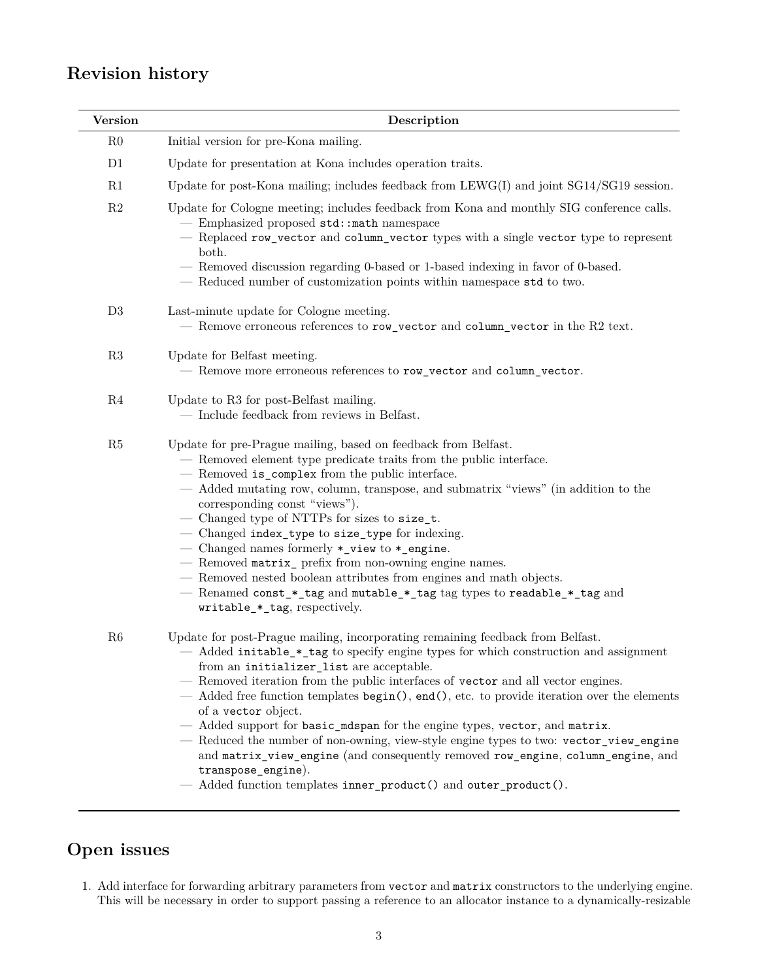# <span id="page-2-0"></span>**Revision history**

| <b>Version</b> | Description                                                                                                                                                                                                                                                                                                                                                                                                                                                                                                                                                                                                                                                                                                                                                                    |
|----------------|--------------------------------------------------------------------------------------------------------------------------------------------------------------------------------------------------------------------------------------------------------------------------------------------------------------------------------------------------------------------------------------------------------------------------------------------------------------------------------------------------------------------------------------------------------------------------------------------------------------------------------------------------------------------------------------------------------------------------------------------------------------------------------|
| R <sub>0</sub> | Initial version for pre-Kona mailing.                                                                                                                                                                                                                                                                                                                                                                                                                                                                                                                                                                                                                                                                                                                                          |
| D1             | Update for presentation at Kona includes operation traits.                                                                                                                                                                                                                                                                                                                                                                                                                                                                                                                                                                                                                                                                                                                     |
| R1             | Update for post-Kona mailing; includes feedback from $LEWG(I)$ and joint $SG14/SG19$ session.                                                                                                                                                                                                                                                                                                                                                                                                                                                                                                                                                                                                                                                                                  |
| R2             | Update for Cologne meeting; includes feedback from Kona and monthly SIG conference calls.<br>- Emphasized proposed std::math namespace<br>- Replaced row_vector and column_vector types with a single vector type to represent<br>both.<br>— Removed discussion regarding 0-based or 1-based indexing in favor of 0-based.<br>- Reduced number of customization points within namespace std to two.                                                                                                                                                                                                                                                                                                                                                                            |
| D3             | Last-minute update for Cologne meeting.<br>- Remove erroneous references to row_vector and column_vector in the R2 text.                                                                                                                                                                                                                                                                                                                                                                                                                                                                                                                                                                                                                                                       |
| R3             | Update for Belfast meeting.<br>- Remove more erroneous references to row_vector and column_vector.                                                                                                                                                                                                                                                                                                                                                                                                                                                                                                                                                                                                                                                                             |
| R4             | Update to R3 for post-Belfast mailing.<br>- Include feedback from reviews in Belfast.                                                                                                                                                                                                                                                                                                                                                                                                                                                                                                                                                                                                                                                                                          |
| R5             | Update for pre-Prague mailing, based on feedback from Belfast.<br>- Removed element type predicate traits from the public interface.<br>- Removed is_complex from the public interface.<br>— Added mutating row, column, transpose, and submatrix "views" (in addition to the<br>corresponding const "views").<br>- Changed type of NTTPs for sizes to size_t.<br>- Changed index_type to size_type for indexing.<br>- Changed names formerly *_view to *_engine.<br>- Removed matrix_ prefix from non-owning engine names.<br>- Removed nested boolean attributes from engines and math objects.<br>- Renamed const_*_tag and mutable_*_tag tag types to readable_*_tag and<br>writable_*_tag, respectively.                                                                  |
| R6             | Update for post-Prague mailing, incorporating remaining feedback from Belfast.<br>— Added initable_*_tag to specify engine types for which construction and assignment<br>from an initializer_list are acceptable.<br>- Removed iteration from the public interfaces of vector and all vector engines.<br>— Added free function templates begin(), end(), etc. to provide iteration over the elements<br>of a vector object.<br>- Added support for basic_mdspan for the engine types, vector, and matrix.<br>- Reduced the number of non-owning, view-style engine types to two: vector_view_engine<br>and matrix_view_engine (and consequently removed row_engine, column_engine, and<br>transpose_engine).<br>Added function templates inner_product() and outer_product(). |

# <span id="page-2-1"></span>**Open issues**

1. Add interface for forwarding arbitrary parameters from vector and matrix constructors to the underlying engine. This will be necessary in order to support passing a reference to an allocator instance to a dynamically-resizable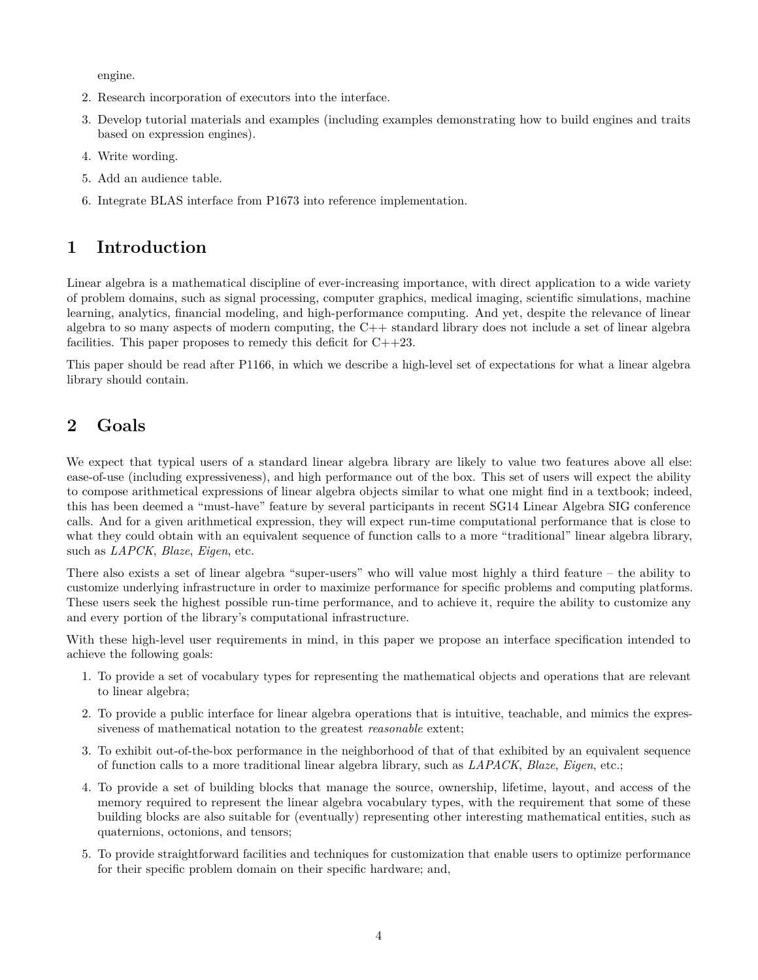engine.

- 2. Research incorporation of executors into the interface.
- 3. Develop tutorial materials and examples (including examples demonstrating how to build engines and traits based on expression engines).
- 4. Write wording.
- 5. Add an audience table.
- 6. Integrate BLAS interface from P1673 into reference implementation.

# <span id="page-3-0"></span>**1 Introduction**

Linear algebra is a mathematical discipline of ever-increasing importance, with direct application to a wide variety of problem domains, such as signal processing, computer graphics, medical imaging, scientific simulations, machine learning, analytics, financial modeling, and high-performance computing. And yet, despite the relevance of linear algebra to so many aspects of modern computing, the C++ standard library does not include a set of linear algebra facilities. This paper proposes to remedy this deficit for  $C++23$ .

This paper should be read after P1166, in which we describe a high-level set of expectations for what a linear algebra library should contain.

# <span id="page-3-1"></span>**2 Goals**

We expect that typical users of a standard linear algebra library are likely to value two features above all else: ease-of-use (including expressiveness), and high performance out of the box. This set of users will expect the ability to compose arithmetical expressions of linear algebra objects similar to what one might find in a textbook; indeed, this has been deemed a "must-have" feature by several participants in recent SG14 Linear Algebra SIG conference calls. And for a given arithmetical expression, they will expect run-time computational performance that is close to what they could obtain with an equivalent sequence of function calls to a more "traditional" linear algebra library, such as *LAPCK*, *Blaze*, *Eigen*, etc.

There also exists a set of linear algebra "super-users" who will value most highly a third feature – the ability to customize underlying infrastructure in order to maximize performance for specific problems and computing platforms. These users seek the highest possible run-time performance, and to achieve it, require the ability to customize any and every portion of the library's computational infrastructure.

With these high-level user requirements in mind, in this paper we propose an interface specification intended to achieve the following goals:

- 1. To provide a set of vocabulary types for representing the mathematical objects and operations that are relevant to linear algebra;
- 2. To provide a public interface for linear algebra operations that is intuitive, teachable, and mimics the expressiveness of mathematical notation to the greatest *reasonable* extent;
- 3. To exhibit out-of-the-box performance in the neighborhood of that of that exhibited by an equivalent sequence of function calls to a more traditional linear algebra library, such as *LAPACK*, *Blaze*, *Eigen*, etc.;
- 4. To provide a set of building blocks that manage the source, ownership, lifetime, layout, and access of the memory required to represent the linear algebra vocabulary types, with the requirement that some of these building blocks are also suitable for (eventually) representing other interesting mathematical entities, such as quaternions, octonions, and tensors;
- 5. To provide straightforward facilities and techniques for customization that enable users to optimize performance for their specific problem domain on their specific hardware; and,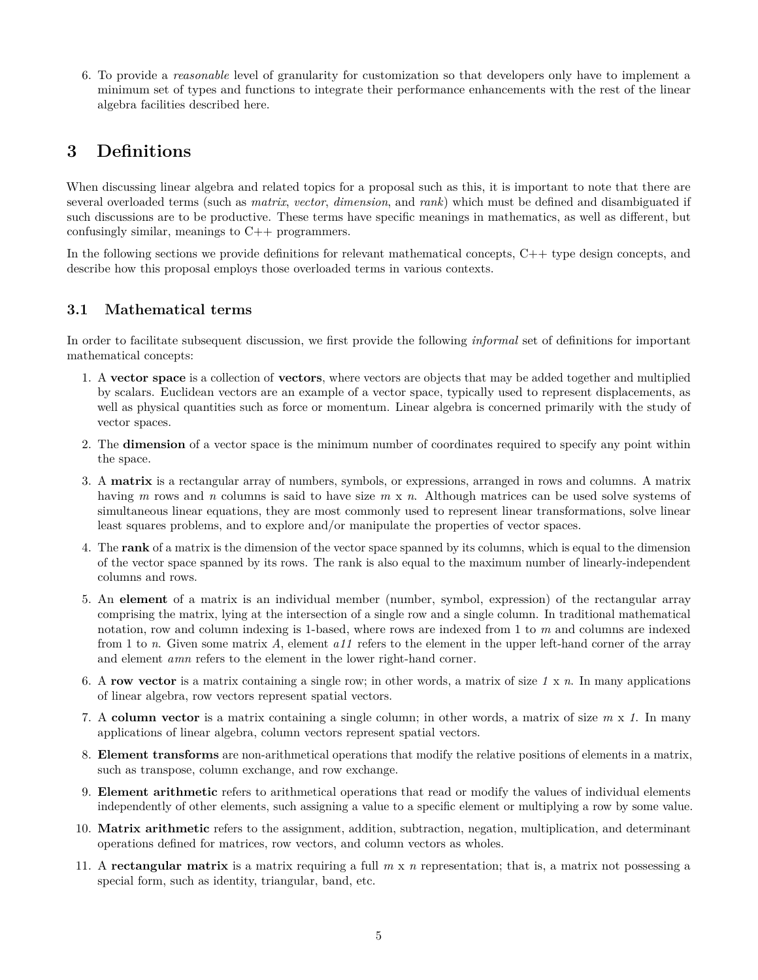6. To provide a *reasonable* level of granularity for customization so that developers only have to implement a minimum set of types and functions to integrate their performance enhancements with the rest of the linear algebra facilities described here.

# <span id="page-4-0"></span>**3 Definitions**

When discussing linear algebra and related topics for a proposal such as this, it is important to note that there are several overloaded terms (such as *matrix*, *vector*, *dimension*, and *rank*) which must be defined and disambiguated if such discussions are to be productive. These terms have specific meanings in mathematics, as well as different, but confusingly similar, meanings to C++ programmers.

In the following sections we provide definitions for relevant mathematical concepts, C++ type design concepts, and describe how this proposal employs those overloaded terms in various contexts.

# <span id="page-4-1"></span>**3.1 Mathematical terms**

In order to facilitate subsequent discussion, we first provide the following *informal* set of definitions for important mathematical concepts:

- 1. A **vector space** is a collection of **vectors**, where vectors are objects that may be added together and multiplied by scalars. Euclidean vectors are an example of a vector space, typically used to represent displacements, as well as physical quantities such as force or momentum. Linear algebra is concerned primarily with the study of vector spaces.
- 2. The **dimension** of a vector space is the minimum number of coordinates required to specify any point within the space.
- 3. A **matrix** is a rectangular array of numbers, symbols, or expressions, arranged in rows and columns. A matrix having *m* rows and *n* columns is said to have size *m* x *n*. Although matrices can be used solve systems of simultaneous linear equations, they are most commonly used to represent linear transformations, solve linear least squares problems, and to explore and/or manipulate the properties of vector spaces.
- 4. The **rank** of a matrix is the dimension of the vector space spanned by its columns, which is equal to the dimension of the vector space spanned by its rows. The rank is also equal to the maximum number of linearly-independent columns and rows.
- 5. An **element** of a matrix is an individual member (number, symbol, expression) of the rectangular array comprising the matrix, lying at the intersection of a single row and a single column. In traditional mathematical notation, row and column indexing is 1-based, where rows are indexed from 1 to *m* and columns are indexed from 1 to *n*. Given some matrix *A*, element *a11* refers to the element in the upper left-hand corner of the array and element *amn* refers to the element in the lower right-hand corner.
- 6. A **row vector** is a matrix containing a single row; in other words, a matrix of size *1* x *n*. In many applications of linear algebra, row vectors represent spatial vectors.
- 7. A **column vector** is a matrix containing a single column; in other words, a matrix of size *m* x *1*. In many applications of linear algebra, column vectors represent spatial vectors.
- 8. **Element transforms** are non-arithmetical operations that modify the relative positions of elements in a matrix, such as transpose, column exchange, and row exchange.
- 9. **Element arithmetic** refers to arithmetical operations that read or modify the values of individual elements independently of other elements, such assigning a value to a specific element or multiplying a row by some value.
- 10. **Matrix arithmetic** refers to the assignment, addition, subtraction, negation, multiplication, and determinant operations defined for matrices, row vectors, and column vectors as wholes.
- 11. A **rectangular matrix** is a matrix requiring a full *m* x *n* representation; that is, a matrix not possessing a special form, such as identity, triangular, band, etc.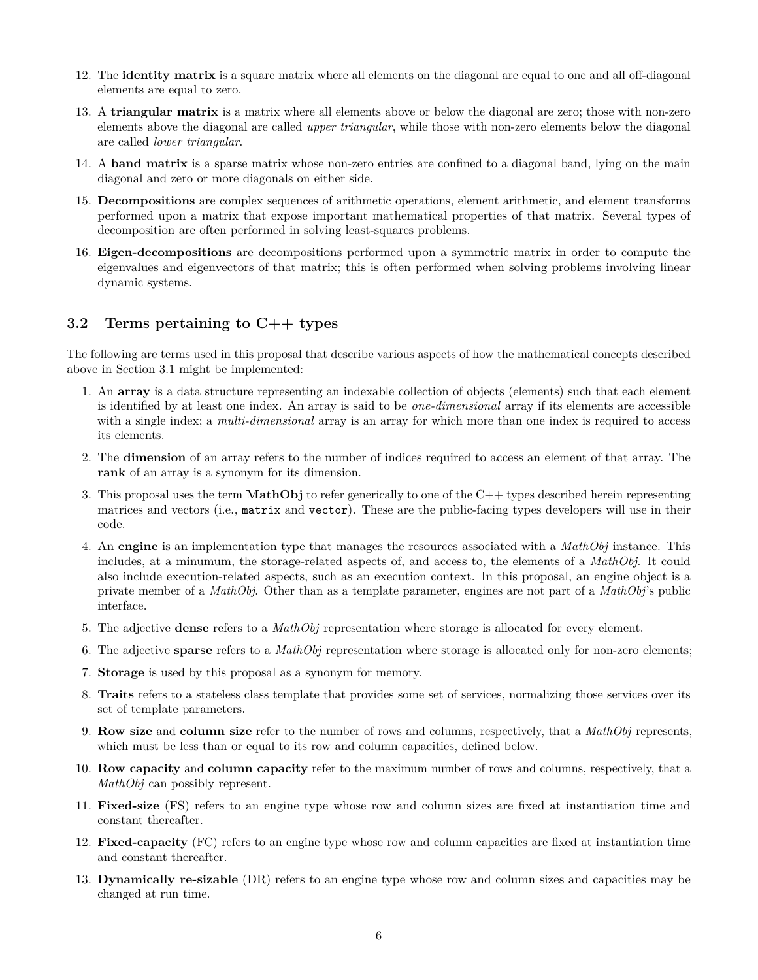- 12. The **identity matrix** is a square matrix where all elements on the diagonal are equal to one and all off-diagonal elements are equal to zero.
- 13. A **triangular matrix** is a matrix where all elements above or below the diagonal are zero; those with non-zero elements above the diagonal are called *upper triangular*, while those with non-zero elements below the diagonal are called *lower triangular*.
- 14. A **band matrix** is a sparse matrix whose non-zero entries are confined to a diagonal band, lying on the main diagonal and zero or more diagonals on either side.
- 15. **Decompositions** are complex sequences of arithmetic operations, element arithmetic, and element transforms performed upon a matrix that expose important mathematical properties of that matrix. Several types of decomposition are often performed in solving least-squares problems.
- 16. **Eigen-decompositions** are decompositions performed upon a symmetric matrix in order to compute the eigenvalues and eigenvectors of that matrix; this is often performed when solving problems involving linear dynamic systems.

## <span id="page-5-0"></span>**3.2 Terms pertaining to C++ types**

The following are terms used in this proposal that describe various aspects of how the mathematical concepts described above in Section 3.1 might be implemented:

- 1. An **array** is a data structure representing an indexable collection of objects (elements) such that each element is identified by at least one index. An array is said to be *one-dimensional* array if its elements are accessible with a single index; a *multi-dimensional* array is an array for which more than one index is required to access its elements.
- 2. The **dimension** of an array refers to the number of indices required to access an element of that array. The **rank** of an array is a synonym for its dimension.
- 3. This proposal uses the term **MathObj** to refer generically to one of the C++ types described herein representing matrices and vectors (i.e., matrix and vector). These are the public-facing types developers will use in their code.
- 4. An **engine** is an implementation type that manages the resources associated with a *MathObj* instance. This includes, at a minumum, the storage-related aspects of, and access to, the elements of a *MathObj*. It could also include execution-related aspects, such as an execution context. In this proposal, an engine object is a private member of a *MathObj*. Other than as a template parameter, engines are not part of a *MathObj*'s public interface.
- 5. The adjective **dense** refers to a *MathObj* representation where storage is allocated for every element.
- 6. The adjective **sparse** refers to a *MathObj* representation where storage is allocated only for non-zero elements;
- 7. **Storage** is used by this proposal as a synonym for memory.
- 8. **Traits** refers to a stateless class template that provides some set of services, normalizing those services over its set of template parameters.
- 9. **Row size** and **column size** refer to the number of rows and columns, respectively, that a *MathObj* represents, which must be less than or equal to its row and column capacities, defined below.
- 10. **Row capacity** and **column capacity** refer to the maximum number of rows and columns, respectively, that a *MathObj* can possibly represent.
- 11. **Fixed-size** (FS) refers to an engine type whose row and column sizes are fixed at instantiation time and constant thereafter.
- 12. **Fixed-capacity** (FC) refers to an engine type whose row and column capacities are fixed at instantiation time and constant thereafter.
- 13. **Dynamically re-sizable** (DR) refers to an engine type whose row and column sizes and capacities may be changed at run time.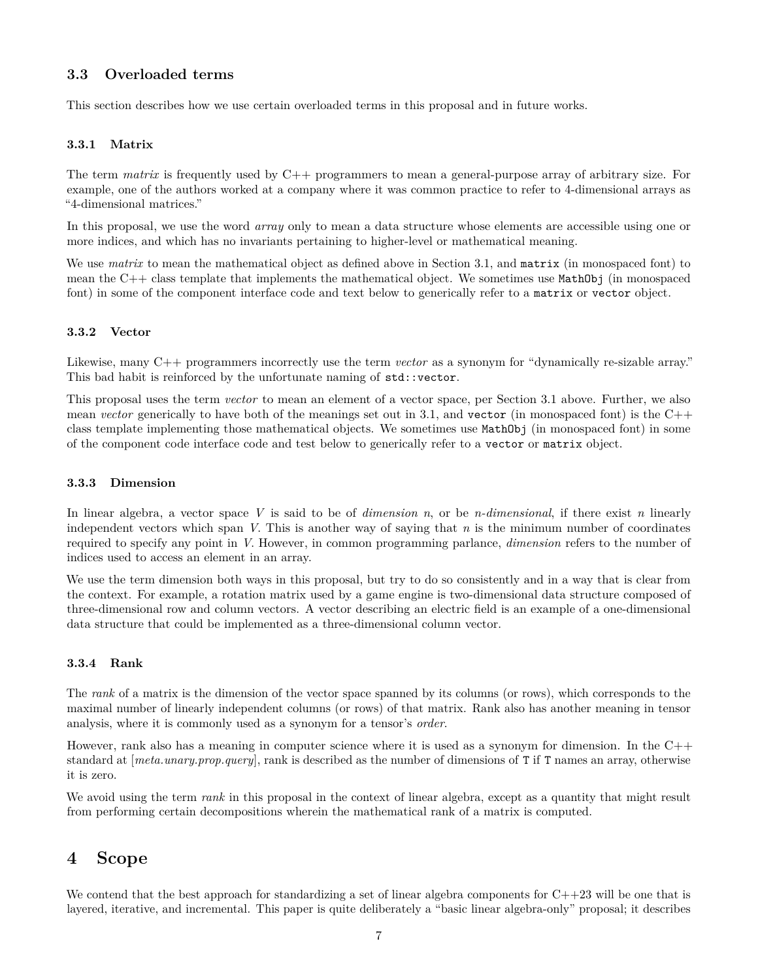## <span id="page-6-0"></span>**3.3 Overloaded terms**

This section describes how we use certain overloaded terms in this proposal and in future works.

#### <span id="page-6-1"></span>**3.3.1 Matrix**

The term *matrix* is frequently used by C++ programmers to mean a general-purpose array of arbitrary size. For example, one of the authors worked at a company where it was common practice to refer to 4-dimensional arrays as "4-dimensional matrices."

In this proposal, we use the word *array* only to mean a data structure whose elements are accessible using one or more indices, and which has no invariants pertaining to higher-level or mathematical meaning.

We use *matrix* to mean the mathematical object as defined above in Section 3.1, and **matrix** (in monospaced font) to mean the  $C++$  class template that implements the mathematical object. We sometimes use  $MathObj$  (in monospaced font) in some of the component interface code and text below to generically refer to a matrix or vector object.

#### <span id="page-6-2"></span>**3.3.2 Vector**

Likewise, many C++ programmers incorrectly use the term *vector* as a synonym for "dynamically re-sizable array." This bad habit is reinforced by the unfortunate naming of  $std$ ::vector.

This proposal uses the term *vector* to mean an element of a vector space, per Section 3.1 above. Further, we also mean *vector* generically to have both of the meanings set out in 3.1, and vector (in monospaced font) is the C++ class template implementing those mathematical objects. We sometimes use MathObj (in monospaced font) in some of the component code interface code and test below to generically refer to a vector or matrix object.

#### <span id="page-6-3"></span>**3.3.3 Dimension**

In linear algebra, a vector space *V* is said to be of *dimension n*, or be *n-dimensional*, if there exist *n* linearly independent vectors which span *V*. This is another way of saying that *n* is the minimum number of coordinates required to specify any point in *V*. However, in common programming parlance, *dimension* refers to the number of indices used to access an element in an array.

We use the term dimension both ways in this proposal, but try to do so consistently and in a way that is clear from the context. For example, a rotation matrix used by a game engine is two-dimensional data structure composed of three-dimensional row and column vectors. A vector describing an electric field is an example of a one-dimensional data structure that could be implemented as a three-dimensional column vector.

#### <span id="page-6-4"></span>**3.3.4 Rank**

The *rank* of a matrix is the dimension of the vector space spanned by its columns (or rows), which corresponds to the maximal number of linearly independent columns (or rows) of that matrix. Rank also has another meaning in tensor analysis, where it is commonly used as a synonym for a tensor's *order*.

However, rank also has a meaning in computer science where it is used as a synonym for dimension. In the C++ standard at [*meta.unary.prop.query*], rank is described as the number of dimensions of T if T names an array, otherwise it is zero.

We avoid using the term *rank* in this proposal in the context of linear algebra, except as a quantity that might result from performing certain decompositions wherein the mathematical rank of a matrix is computed.

# <span id="page-6-5"></span>**4 Scope**

We contend that the best approach for standardizing a set of linear algebra components for  $C++23$  will be one that is layered, iterative, and incremental. This paper is quite deliberately a "basic linear algebra-only" proposal; it describes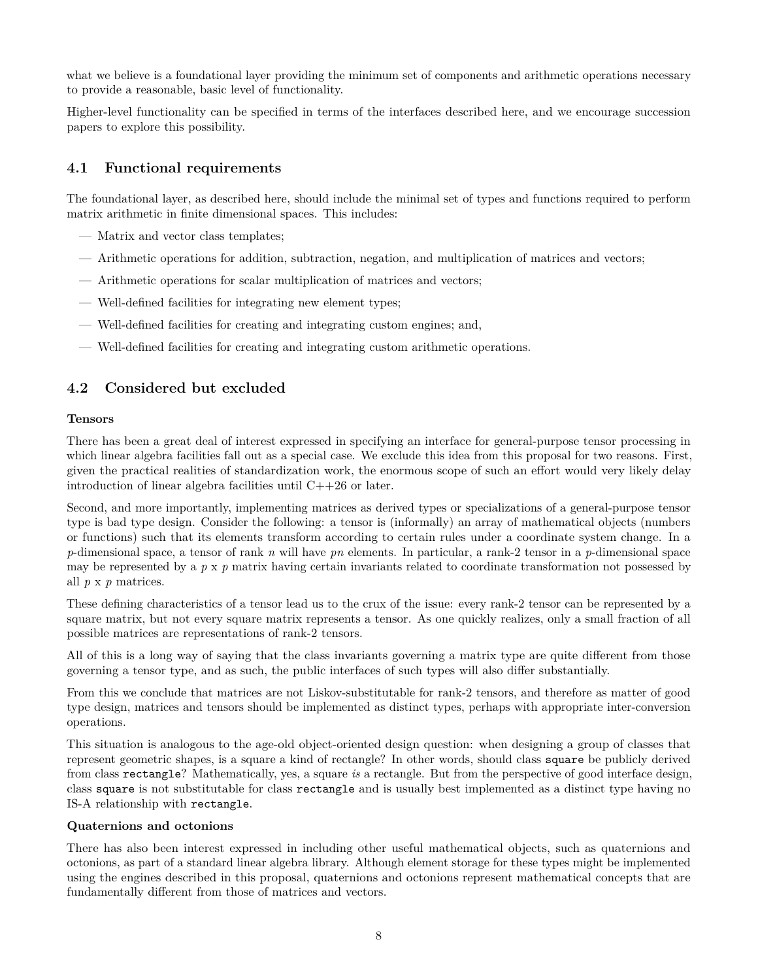what we believe is a foundational layer providing the minimum set of components and arithmetic operations necessary to provide a reasonable, basic level of functionality.

Higher-level functionality can be specified in terms of the interfaces described here, and we encourage succession papers to explore this possibility.

## <span id="page-7-0"></span>**4.1 Functional requirements**

The foundational layer, as described here, should include the minimal set of types and functions required to perform matrix arithmetic in finite dimensional spaces. This includes:

- Matrix and vector class templates;
- Arithmetic operations for addition, subtraction, negation, and multiplication of matrices and vectors;
- Arithmetic operations for scalar multiplication of matrices and vectors;
- Well-defined facilities for integrating new element types;
- Well-defined facilities for creating and integrating custom engines; and,
- Well-defined facilities for creating and integrating custom arithmetic operations.

# <span id="page-7-1"></span>**4.2 Considered but excluded**

### **Tensors**

There has been a great deal of interest expressed in specifying an interface for general-purpose tensor processing in which linear algebra facilities fall out as a special case. We exclude this idea from this proposal for two reasons. First, given the practical realities of standardization work, the enormous scope of such an effort would very likely delay introduction of linear algebra facilities until C++26 or later.

Second, and more importantly, implementing matrices as derived types or specializations of a general-purpose tensor type is bad type design. Consider the following: a tensor is (informally) an array of mathematical objects (numbers or functions) such that its elements transform according to certain rules under a coordinate system change. In a *p*-dimensional space, a tensor of rank *n* will have *pn* elements. In particular, a rank-2 tensor in a *p*-dimensional space may be represented by a *p* x *p* matrix having certain invariants related to coordinate transformation not possessed by all *p* x *p* matrices.

These defining characteristics of a tensor lead us to the crux of the issue: every rank-2 tensor can be represented by a square matrix, but not every square matrix represents a tensor. As one quickly realizes, only a small fraction of all possible matrices are representations of rank-2 tensors.

All of this is a long way of saying that the class invariants governing a matrix type are quite different from those governing a tensor type, and as such, the public interfaces of such types will also differ substantially.

From this we conclude that matrices are not Liskov-substitutable for rank-2 tensors, and therefore as matter of good type design, matrices and tensors should be implemented as distinct types, perhaps with appropriate inter-conversion operations.

This situation is analogous to the age-old object-oriented design question: when designing a group of classes that represent geometric shapes, is a square a kind of rectangle? In other words, should class square be publicly derived from class rectangle? Mathematically, yes, a square *is* a rectangle. But from the perspective of good interface design, class square is not substitutable for class rectangle and is usually best implemented as a distinct type having no IS-A relationship with rectangle.

### **Quaternions and octonions**

There has also been interest expressed in including other useful mathematical objects, such as quaternions and octonions, as part of a standard linear algebra library. Although element storage for these types might be implemented using the engines described in this proposal, quaternions and octonions represent mathematical concepts that are fundamentally different from those of matrices and vectors.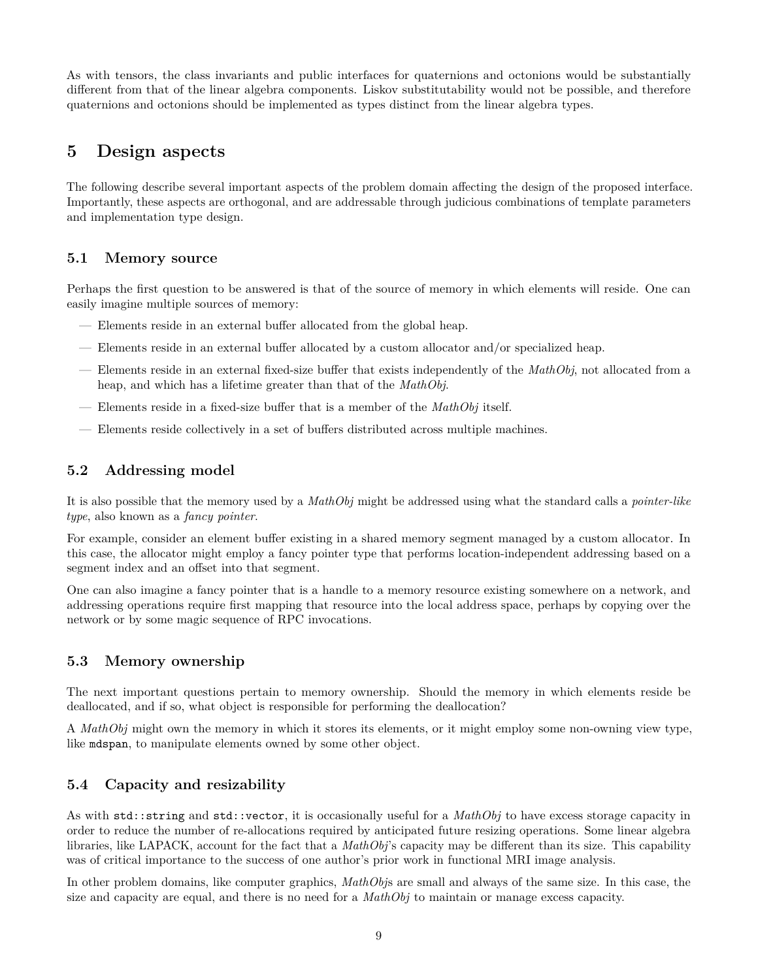As with tensors, the class invariants and public interfaces for quaternions and octonions would be substantially different from that of the linear algebra components. Liskov substitutability would not be possible, and therefore quaternions and octonions should be implemented as types distinct from the linear algebra types.

# <span id="page-8-0"></span>**5 Design aspects**

The following describe several important aspects of the problem domain affecting the design of the proposed interface. Importantly, these aspects are orthogonal, and are addressable through judicious combinations of template parameters and implementation type design.

## <span id="page-8-1"></span>**5.1 Memory source**

Perhaps the first question to be answered is that of the source of memory in which elements will reside. One can easily imagine multiple sources of memory:

- Elements reside in an external buffer allocated from the global heap.
- Elements reside in an external buffer allocated by a custom allocator and/or specialized heap.
- Elements reside in an external fixed-size buffer that exists independently of the *MathObj*, not allocated from a heap, and which has a lifetime greater than that of the *MathObj*.
- Elements reside in a fixed-size buffer that is a member of the *MathObj* itself.
- Elements reside collectively in a set of buffers distributed across multiple machines.

# <span id="page-8-2"></span>**5.2 Addressing model**

It is also possible that the memory used by a *MathObj* might be addressed using what the standard calls a *pointer-like type*, also known as a *fancy pointer*.

For example, consider an element buffer existing in a shared memory segment managed by a custom allocator. In this case, the allocator might employ a fancy pointer type that performs location-independent addressing based on a segment index and an offset into that segment.

One can also imagine a fancy pointer that is a handle to a memory resource existing somewhere on a network, and addressing operations require first mapping that resource into the local address space, perhaps by copying over the network or by some magic sequence of RPC invocations.

## <span id="page-8-3"></span>**5.3 Memory ownership**

The next important questions pertain to memory ownership. Should the memory in which elements reside be deallocated, and if so, what object is responsible for performing the deallocation?

A *MathObj* might own the memory in which it stores its elements, or it might employ some non-owning view type, like mdspan, to manipulate elements owned by some other object.

## <span id="page-8-4"></span>**5.4 Capacity and resizability**

As with std::string and std::vector, it is occasionally useful for a *MathObj* to have excess storage capacity in order to reduce the number of re-allocations required by anticipated future resizing operations. Some linear algebra libraries, like LAPACK, account for the fact that a *MathObj*'s capacity may be different than its size. This capability was of critical importance to the success of one author's prior work in functional MRI image analysis.

In other problem domains, like computer graphics, *MathObj*s are small and always of the same size. In this case, the size and capacity are equal, and there is no need for a *MathObj* to maintain or manage excess capacity.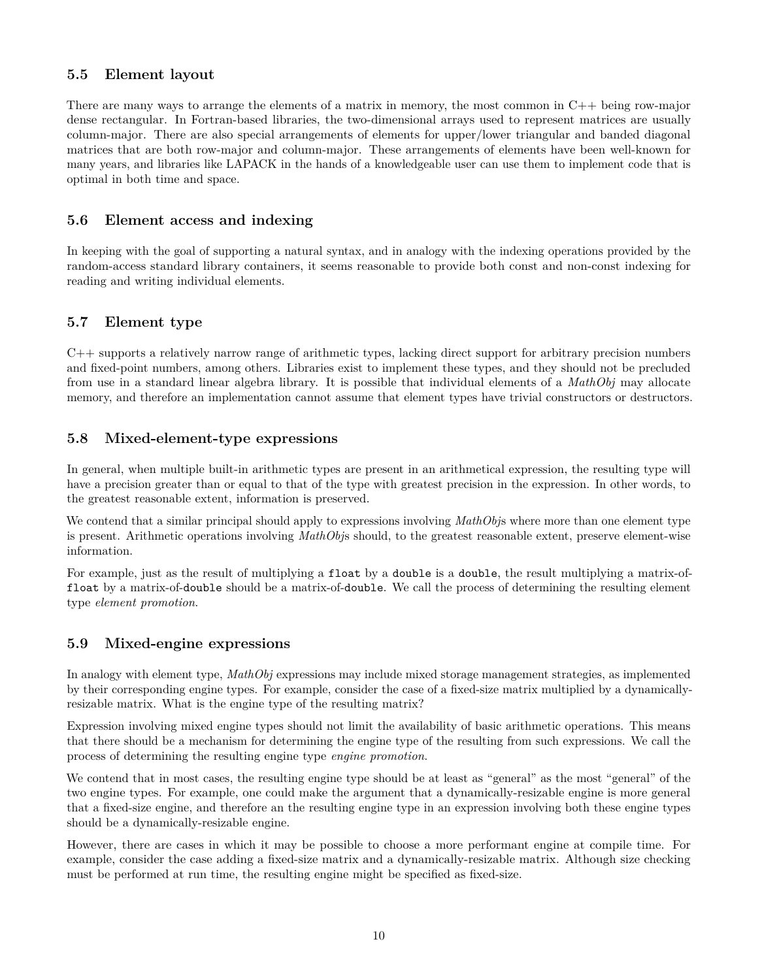## <span id="page-9-0"></span>**5.5 Element layout**

There are many ways to arrange the elements of a matrix in memory, the most common in C++ being row-major dense rectangular. In Fortran-based libraries, the two-dimensional arrays used to represent matrices are usually column-major. There are also special arrangements of elements for upper/lower triangular and banded diagonal matrices that are both row-major and column-major. These arrangements of elements have been well-known for many years, and libraries like LAPACK in the hands of a knowledgeable user can use them to implement code that is optimal in both time and space.

## <span id="page-9-1"></span>**5.6 Element access and indexing**

In keeping with the goal of supporting a natural syntax, and in analogy with the indexing operations provided by the random-access standard library containers, it seems reasonable to provide both const and non-const indexing for reading and writing individual elements.

## <span id="page-9-2"></span>**5.7 Element type**

C++ supports a relatively narrow range of arithmetic types, lacking direct support for arbitrary precision numbers and fixed-point numbers, among others. Libraries exist to implement these types, and they should not be precluded from use in a standard linear algebra library. It is possible that individual elements of a *MathObj* may allocate memory, and therefore an implementation cannot assume that element types have trivial constructors or destructors.

## <span id="page-9-3"></span>**5.8 Mixed-element-type expressions**

In general, when multiple built-in arithmetic types are present in an arithmetical expression, the resulting type will have a precision greater than or equal to that of the type with greatest precision in the expression. In other words, to the greatest reasonable extent, information is preserved.

We contend that a similar principal should apply to expressions involving *MathObjs* where more than one element type is present. Arithmetic operations involving *MathObj*s should, to the greatest reasonable extent, preserve element-wise information.

For example, just as the result of multiplying a float by a double is a double, the result multiplying a matrix-offloat by a matrix-of-double should be a matrix-of-double. We call the process of determining the resulting element type *element promotion*.

# <span id="page-9-4"></span>**5.9 Mixed-engine expressions**

In analogy with element type, *MathObj* expressions may include mixed storage management strategies, as implemented by their corresponding engine types. For example, consider the case of a fixed-size matrix multiplied by a dynamicallyresizable matrix. What is the engine type of the resulting matrix?

Expression involving mixed engine types should not limit the availability of basic arithmetic operations. This means that there should be a mechanism for determining the engine type of the resulting from such expressions. We call the process of determining the resulting engine type *engine promotion*.

We contend that in most cases, the resulting engine type should be at least as "general" as the most "general" of the two engine types. For example, one could make the argument that a dynamically-resizable engine is more general that a fixed-size engine, and therefore an the resulting engine type in an expression involving both these engine types should be a dynamically-resizable engine.

However, there are cases in which it may be possible to choose a more performant engine at compile time. For example, consider the case adding a fixed-size matrix and a dynamically-resizable matrix. Although size checking must be performed at run time, the resulting engine might be specified as fixed-size.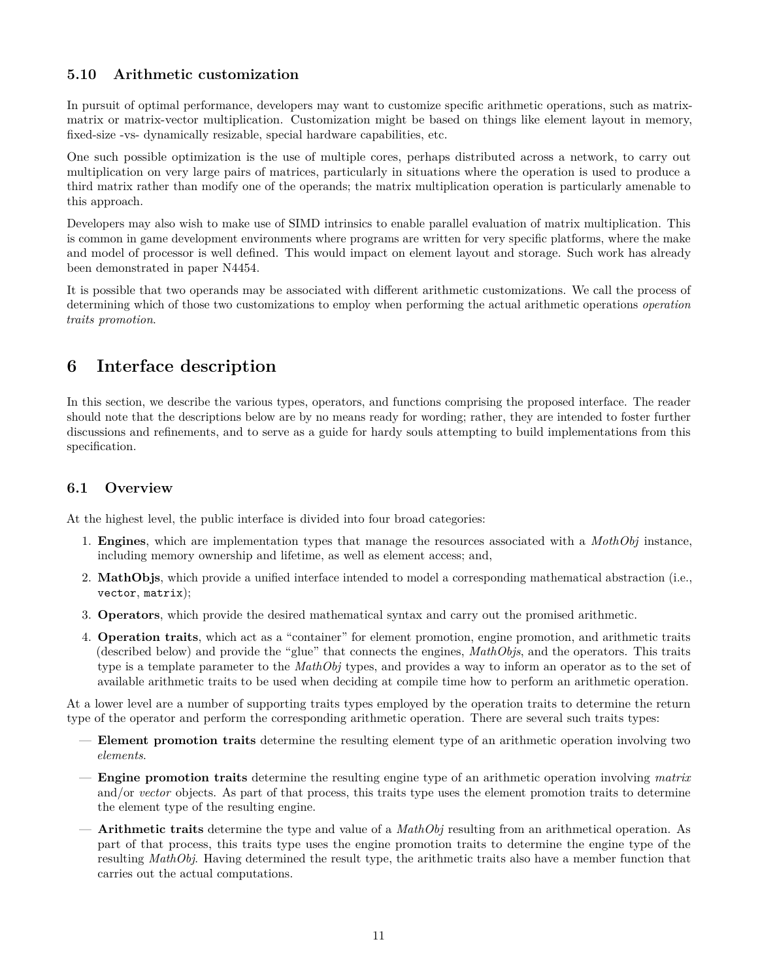# <span id="page-10-0"></span>**5.10 Arithmetic customization**

In pursuit of optimal performance, developers may want to customize specific arithmetic operations, such as matrixmatrix or matrix-vector multiplication. Customization might be based on things like element layout in memory, fixed-size -vs- dynamically resizable, special hardware capabilities, etc.

One such possible optimization is the use of multiple cores, perhaps distributed across a network, to carry out multiplication on very large pairs of matrices, particularly in situations where the operation is used to produce a third matrix rather than modify one of the operands; the matrix multiplication operation is particularly amenable to this approach.

Developers may also wish to make use of SIMD intrinsics to enable parallel evaluation of matrix multiplication. This is common in game development environments where programs are written for very specific platforms, where the make and model of processor is well defined. This would impact on element layout and storage. Such work has already been demonstrated in paper N4454.

It is possible that two operands may be associated with different arithmetic customizations. We call the process of determining which of those two customizations to employ when performing the actual arithmetic operations *operation traits promotion*.

# <span id="page-10-1"></span>**6 Interface description**

In this section, we describe the various types, operators, and functions comprising the proposed interface. The reader should note that the descriptions below are by no means ready for wording; rather, they are intended to foster further discussions and refinements, and to serve as a guide for hardy souls attempting to build implementations from this specification.

# <span id="page-10-2"></span>**6.1 Overview**

At the highest level, the public interface is divided into four broad categories:

- 1. **Engines**, which are implementation types that manage the resources associated with a *MothObj* instance, including memory ownership and lifetime, as well as element access; and,
- 2. **MathObjs**, which provide a unified interface intended to model a corresponding mathematical abstraction (i.e., vector, matrix);
- 3. **Operators**, which provide the desired mathematical syntax and carry out the promised arithmetic.
- 4. **Operation traits**, which act as a "container" for element promotion, engine promotion, and arithmetic traits (described below) and provide the "glue" that connects the engines, *MathObjs*, and the operators. This traits type is a template parameter to the *MathObj* types, and provides a way to inform an operator as to the set of available arithmetic traits to be used when deciding at compile time how to perform an arithmetic operation.

At a lower level are a number of supporting traits types employed by the operation traits to determine the return type of the operator and perform the corresponding arithmetic operation. There are several such traits types:

- **Element promotion traits** determine the resulting element type of an arithmetic operation involving two *elements*.
- **Engine promotion traits** determine the resulting engine type of an arithmetic operation involving *matrix* and/or *vector* objects. As part of that process, this traits type uses the element promotion traits to determine the element type of the resulting engine.
- **Arithmetic traits** determine the type and value of a *MathObj* resulting from an arithmetical operation. As part of that process, this traits type uses the engine promotion traits to determine the engine type of the resulting *MathObj*. Having determined the result type, the arithmetic traits also have a member function that carries out the actual computations.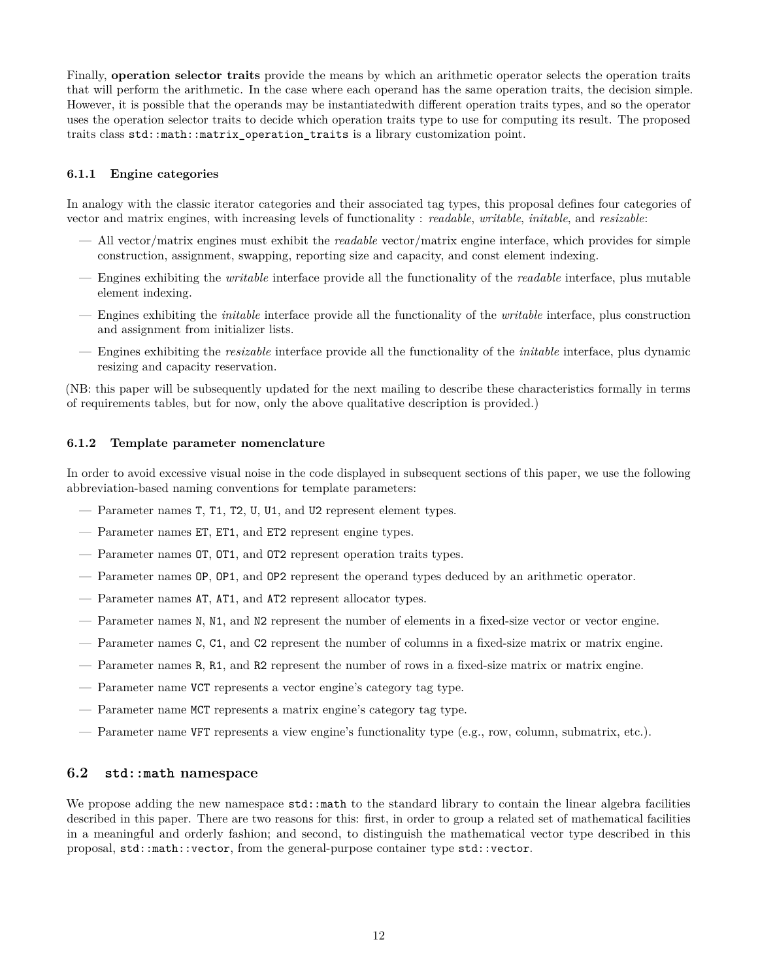Finally, **operation selector traits** provide the means by which an arithmetic operator selects the operation traits that will perform the arithmetic. In the case where each operand has the same operation traits, the decision simple. However, it is possible that the operands may be instantiatedwith different operation traits types, and so the operator uses the operation selector traits to decide which operation traits type to use for computing its result. The proposed traits class std::math::matrix\_operation\_traits is a library customization point.

### <span id="page-11-0"></span>**6.1.1 Engine categories**

In analogy with the classic iterator categories and their associated tag types, this proposal defines four categories of vector and matrix engines, with increasing levels of functionality : *readable*, *writable*, *initable*, and *resizable*:

- All vector/matrix engines must exhibit the *readable* vector/matrix engine interface, which provides for simple construction, assignment, swapping, reporting size and capacity, and const element indexing.
- Engines exhibiting the *writable* interface provide all the functionality of the *readable* interface, plus mutable element indexing.
- Engines exhibiting the *initable* interface provide all the functionality of the *writable* interface, plus construction and assignment from initializer lists.
- Engines exhibiting the *resizable* interface provide all the functionality of the *initable* interface, plus dynamic resizing and capacity reservation.

(NB: this paper will be subsequently updated for the next mailing to describe these characteristics formally in terms of requirements tables, but for now, only the above qualitative description is provided.)

#### <span id="page-11-1"></span>**6.1.2 Template parameter nomenclature**

In order to avoid excessive visual noise in the code displayed in subsequent sections of this paper, we use the following abbreviation-based naming conventions for template parameters:

- Parameter names T, T1, T2, U, U1, and U2 represent element types.
- Parameter names ET, ET1, and ET2 represent engine types.
- Parameter names OT, OT1, and OT2 represent operation traits types.
- Parameter names OP, OP1, and OP2 represent the operand types deduced by an arithmetic operator.
- Parameter names AT, AT1, and AT2 represent allocator types.
- Parameter names N, N1, and N2 represent the number of elements in a fixed-size vector or vector engine.
- Parameter names C, C1, and C2 represent the number of columns in a fixed-size matrix or matrix engine.
- Parameter names R, R1, and R2 represent the number of rows in a fixed-size matrix or matrix engine.
- Parameter name VCT represents a vector engine's category tag type.
- Parameter name MCT represents a matrix engine's category tag type.
- Parameter name VFT represents a view engine's functionality type (e.g., row, column, submatrix, etc.).

#### <span id="page-11-2"></span>**6.2 std::math namespace**

We propose adding the new namespace  $\text{std}$ : math to the standard library to contain the linear algebra facilities described in this paper. There are two reasons for this: first, in order to group a related set of mathematical facilities in a meaningful and orderly fashion; and second, to distinguish the mathematical vector type described in this proposal, std::math::vector, from the general-purpose container type std::vector.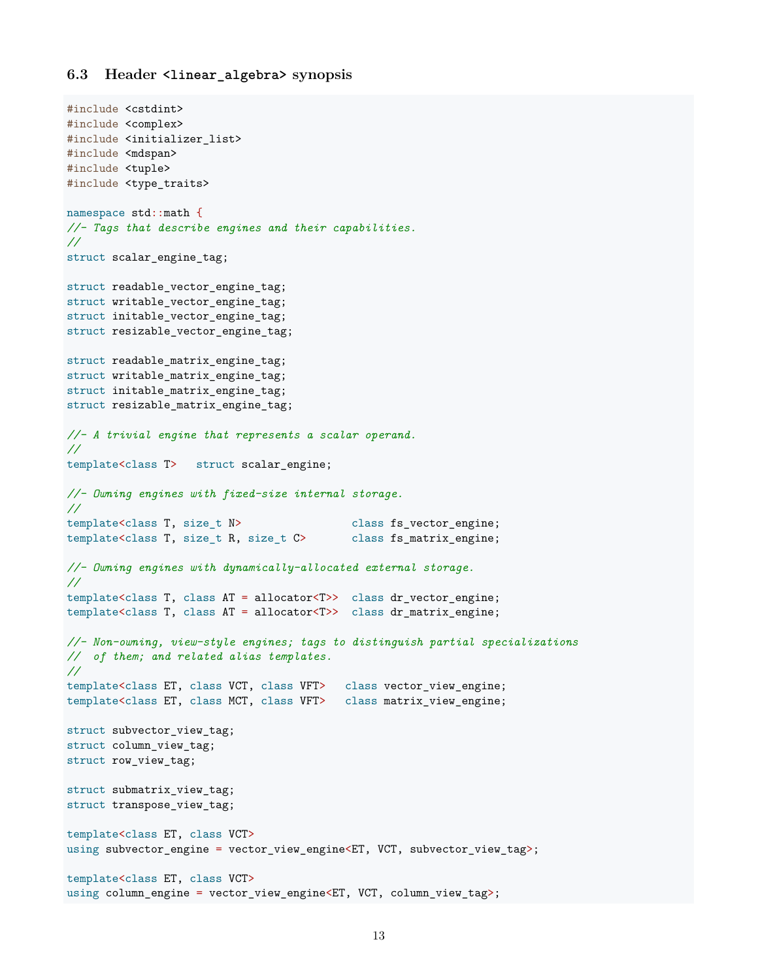### <span id="page-12-0"></span>**6.3 Header <linear\_algebra> synopsis**

```
#include <cstdint>
#include <complex>
#include <initializer_list>
#include <mdspan>
#include <tuple>
#include <type_traits>
namespace std::math {
//- Tags that describe engines and their capabilities.
//
struct scalar_engine_tag;
struct readable_vector_engine_tag;
struct writable_vector_engine_tag;
struct initable_vector_engine_tag;
struct resizable_vector_engine_tag;
struct readable_matrix_engine_tag;
struct writable_matrix_engine_tag;
struct initable_matrix_engine_tag;
struct resizable_matrix_engine_tag;
//- A trivial engine that represents a scalar operand.
//
template<class T> struct scalar_engine;
//- Owning engines with fixed-size internal storage.
//
template<class T, size_t N> class fs_vector_engine;
template<class T, size_t R, size_t C> class fs_matrix_engine;
//- Owning engines with dynamically-allocated external storage.
//
template<class T, class AT = allocator<T>> class dr_vector_engine;
template<class T, class AT = allocator<T>> class dr_matrix_engine;
//- Non-owning, view-style engines; tags to distinguish partial specializations
// of them; and related alias templates.
//
template<class ET, class VCT, class VFT> class vector_view_engine;
template<class ET, class MCT, class VFT> class matrix_view_engine;
struct subvector_view_tag;
struct column_view_tag;
struct row_view_tag;
struct submatrix_view_tag;
struct transpose_view_tag;
template<class ET, class VCT>
using subvector_engine = vector_view_engine<ET, VCT, subvector_view_tag>;
template<class ET, class VCT>
using column_engine = vector_view_engine<ET, VCT, column_view_tag>;
```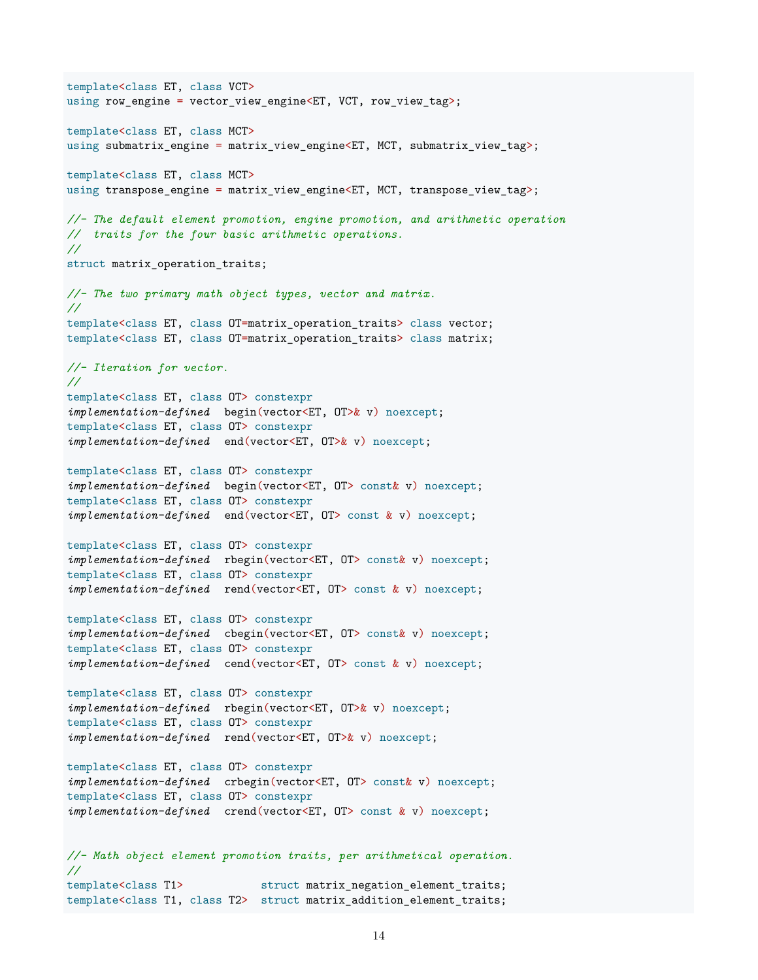template<class ET, class VCT> using row\_engine = vector\_view\_engine<ET, VCT, row\_view\_tag>; template<class ET, class MCT> using submatrix\_engine = matrix\_view\_engine<ET, MCT, submatrix\_view\_tag>; template<class ET, class MCT> using transpose\_engine = matrix\_view\_engine<ET, MCT, transpose\_view\_tag>; *//- The default element promotion, engine promotion, and arithmetic operation // traits for the four basic arithmetic operations. //* struct matrix\_operation\_traits; *//- The two primary math object types, vector and matrix. //* template<class ET, class OT=matrix operation traits> class vector; template<class ET, class OT=matrix\_operation\_traits> class matrix; *//- Iteration for vector. //* template<class ET, class OT> constexpr *implementation-defined* begin(vector<ET, OT>& v) noexcept; template<class ET, class OT> constexpr *implementation-defined* end(vector<ET, OT>& v) noexcept; template<class ET, class OT> constexpr *implementation-defined* begin(vector<ET, OT> const& v) noexcept; template<class ET, class OT> constexpr *implementation-defined* end(vector<ET, OT> const & v) noexcept; template<class ET, class OT> constexpr *implementation-defined* rbegin(vector<ET, OT> const& v) noexcept; template<class ET, class OT> constexpr *implementation-defined* rend(vector<ET, OT> const & v) noexcept; template<class ET, class OT> constexpr *implementation-defined* cbegin(vector<ET, OT> const& v) noexcept; template<class ET, class OT> constexpr *implementation-defined* cend(vector<ET, OT> const & v) noexcept; template<class ET, class OT> constexpr *implementation-defined* rbegin(vector<ET, OT>& v) noexcept; template<class ET, class OT> constexpr *implementation-defined* rend(vector<ET, OT>& v) noexcept; template<class ET, class OT> constexpr *implementation-defined* crbegin(vector<ET, OT> const& v) noexcept; template<class ET, class OT> constexpr *implementation-defined* crend(vector<ET, OT> const & v) noexcept; *//- Math object element promotion traits, per arithmetical operation. //* template<class T1> struct matrix\_negation\_element\_traits; template<class T1, class T2> struct matrix\_addition\_element\_traits;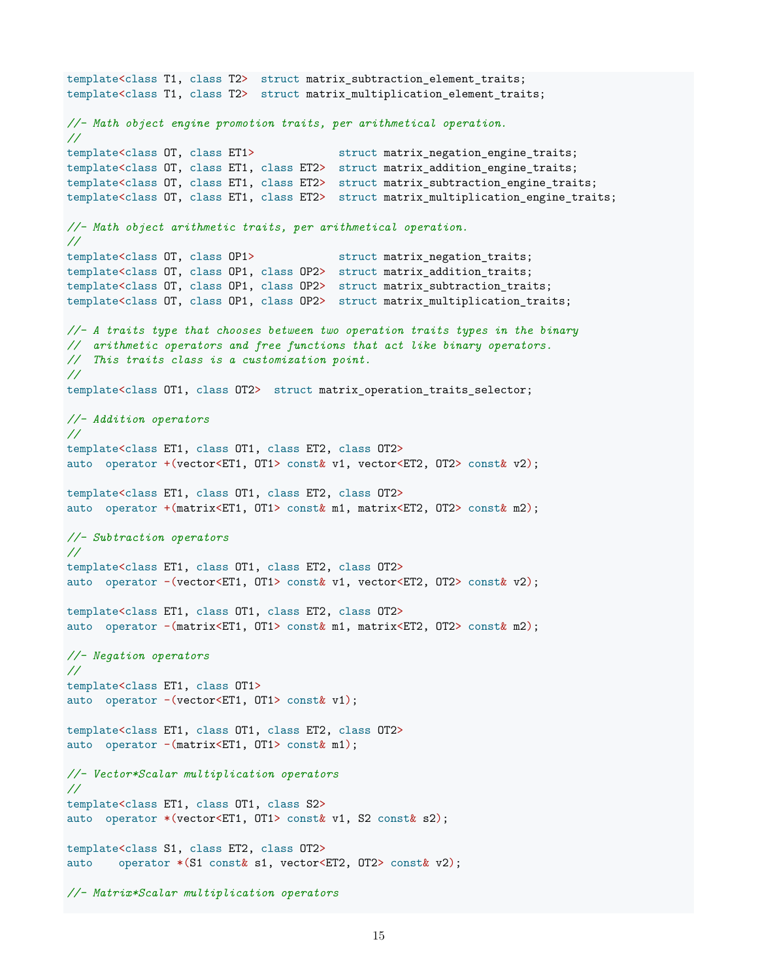```
template<class T1, class T2> struct matrix_subtraction_element_traits;
template<class T1, class T2> struct matrix_multiplication_element_traits;
//- Math object engine promotion traits, per arithmetical operation.
//
template<class OT, class ET1> struct matrix negation engine traits;
template<class OT, class ET1, class ET2> struct matrix_addition_engine_traits;
template<class OT, class ET1, class ET2> struct matrix_subtraction_engine_traits;
template<class OT, class ET1, class ET2> struct matrix_multiplication_engine_traits;
//- Math object arithmetic traits, per arithmetical operation.
//
template<class OT, class OP1> struct matrix_negation_traits;
template<class OT, class OP1, class OP2> struct matrix_addition_traits;
template<class OT, class OP1, class OP2> struct matrix_subtraction_traits;
template<class OT, class OP1, class OP2> struct matrix_multiplication_traits;
//- A traits type that chooses between two operation traits types in the binary
// arithmetic operators and free functions that act like binary operators.
// This traits class is a customization point.
//
template<class OT1, class OT2> struct matrix_operation_traits_selector;
//- Addition operators
//
template<class ET1, class OT1, class ET2, class OT2>
auto operator +(vector<ET1, OT1> const& v1, vector<ET2, OT2> const& v2);
template<class ET1, class OT1, class ET2, class OT2>
auto operator +(matrix<ET1, OT1> const& m1, matrix<ET2, OT2> const& m2);
//- Subtraction operators
//
template<class ET1, class OT1, class ET2, class OT2>
auto operator -(vector<ET1, OT1> const& v1, vector<ET2, OT2> const& v2);
template<class ET1, class OT1, class ET2, class OT2>
auto operator -(matrix<ET1, OT1> const& m1, matrix<ET2, OT2> const& m2);
//- Negation operators
//
template<class ET1, class OT1>
auto operator -(vector<ET1, OT1> const& v1);
template<class ET1, class OT1, class ET2, class OT2>
auto operator -(matrix<ET1, OT1> const& m1);
//- Vector*Scalar multiplication operators
//
template<class ET1, class OT1, class S2>
auto operator *(vector<ET1, OT1> const& v1, S2 const& s2);
template<class S1, class ET2, class OT2>
auto operator *(S1 const& s1, vector<ET2, OT2> const& v2);
//- Matrix*Scalar multiplication operators
```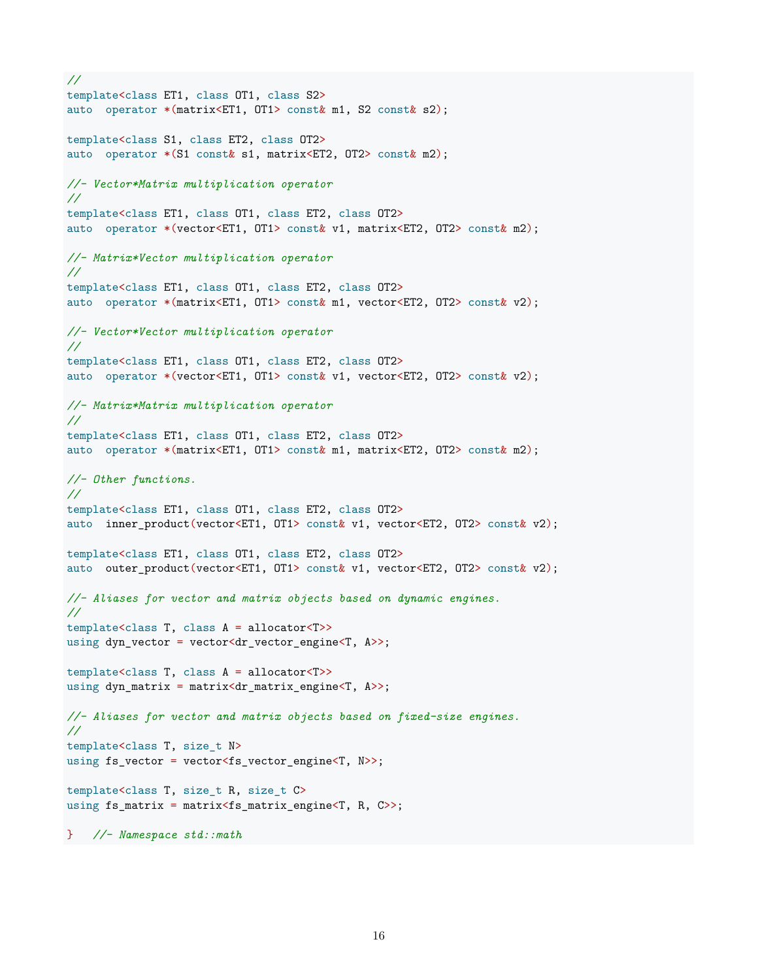```
//
template<class ET1, class OT1, class S2>
auto operator *(matrix<ET1, OT1> const& m1, S2 const& s2);
template<class S1, class ET2, class OT2>
auto operator *(S1 const& s1, matrix<ET2, OT2> const& m2);
//- Vector*Matrix multiplication operator
//
template<class ET1, class OT1, class ET2, class OT2>
auto operator *(vector<ET1, OT1> const& v1, matrix<ET2, OT2> const& m2);
//- Matrix*Vector multiplication operator
//
template<class ET1, class OT1, class ET2, class OT2>
auto operator *(matrix<ET1, OT1> const& m1, vector<ET2, OT2> const& v2);
//- Vector*Vector multiplication operator
//
template<class ET1, class OT1, class ET2, class OT2>
auto operator *(vector<ET1, OT1> const& v1, vector<ET2, OT2> const& v2);
//- Matrix*Matrix multiplication operator
//
template<class ET1, class OT1, class ET2, class OT2>
auto operator *(matrix<ET1, OT1> const& m1, matrix<ET2, OT2> const& m2);
//- Other functions.
//
template<class ET1, class OT1, class ET2, class OT2>
auto inner_product(vector<ET1, OT1> const& v1, vector<ET2, OT2> const& v2);
template<class ET1, class OT1, class ET2, class OT2>
auto outer_product(vector<ET1, OT1> const& v1, vector<ET2, OT2> const& v2);
//- Aliases for vector and matrix objects based on dynamic engines.
//
template<class T, class A = allocator<T>>
using dyn_vector = vector<dr_vector_engine<T, A>>;
template<class T, class A = allocator<T>>
using dyn_matrix = matrix<dr_matrix_engine<T, A>>;
//- Aliases for vector and matrix objects based on fixed-size engines.
//
template<class T, size_t N>
using fs_vector = vector<fs_vector_engine<T, N>>;
template<class T, size_t R, size_t C>
using fs_matrix = matrix<fs_matrix_engine<T, R, C>>;
} //- Namespace std::math
```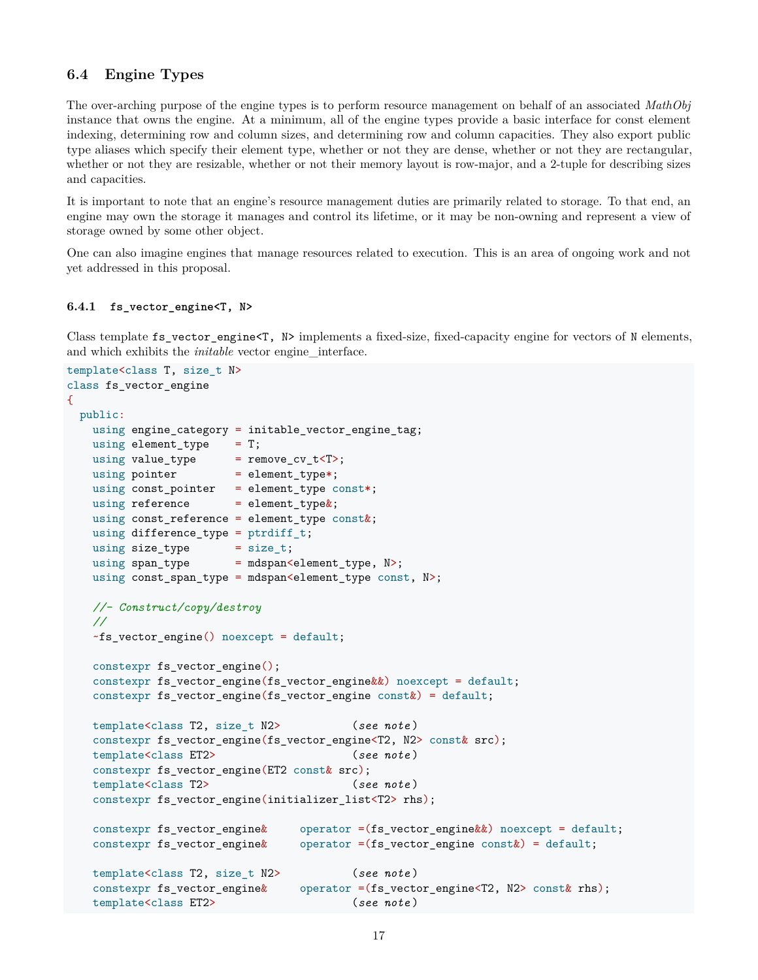# <span id="page-16-0"></span>**6.4 Engine Types**

The over-arching purpose of the engine types is to perform resource management on behalf of an associated *MathObj* instance that owns the engine. At a minimum, all of the engine types provide a basic interface for const element indexing, determining row and column sizes, and determining row and column capacities. They also export public type aliases which specify their element type, whether or not they are dense, whether or not they are rectangular, whether or not they are resizable, whether or not their memory layout is row-major, and a 2-tuple for describing sizes and capacities.

It is important to note that an engine's resource management duties are primarily related to storage. To that end, an engine may own the storage it manages and control its lifetime, or it may be non-owning and represent a view of storage owned by some other object.

One can also imagine engines that manage resources related to execution. This is an area of ongoing work and not yet addressed in this proposal.

### <span id="page-16-1"></span>**6.4.1 fs\_vector\_engine<T, N>**

Class template fs\_vector\_engine<T, N> implements a fixed-size, fixed-capacity engine for vectors of N elements, and which exhibits the *initable* vector engine interface.

```
template<class T, size_t N>
class fs vector engine
{
 public:
   using engine_category = initable_vector_engine_tag;
   using element type = T;
   using value_type = remove_cv_t<T>;
   using pointer = element_type*;
   using const_pointer = element_type const*;
   using reference = element_type\&;
   using const_reference = element_type const&;
   using difference_type = ptrdiff_t;
   using size_type = size_t;
   using span_type = mdspan<element_type, N>;
   using const_span_type = mdspan<element_type const, N>;
   //- Construct/copy/destroy
   //
   ~fs_vector_engine() noexcept = default;
   constexpr fs vector engine();
   constexpr fs_vector_engine(fs_vector_engine&&) noexcept = default;
   constexpr fs vector engine(fs vector engine constk) = default;
   template<class T2, size_t N2> (see note )
   constexpr fs_vector_engine(fs_vector_engine<T2, N2> const& src);
   template<class ET2> (see note )
   constexpr fs_vector_engine(ET2 const& src);
   template<class T2> (see note )
   constexpr fs_vector_engine(initializer_list<T2> rhs);
   constexpr fs_vector_engine& operator =(fs_vector_engine&&) noexcept = default;
   constexpr fs_vector_engine& operator =(fs_vector_engine const&) = default;
   template<class T2, size_t N2> (see note )
   constexpr fs_vector_engine& operator =(fs_vector_engine<T2, N2> const& rhs);
   template<class ET2> (see note )
```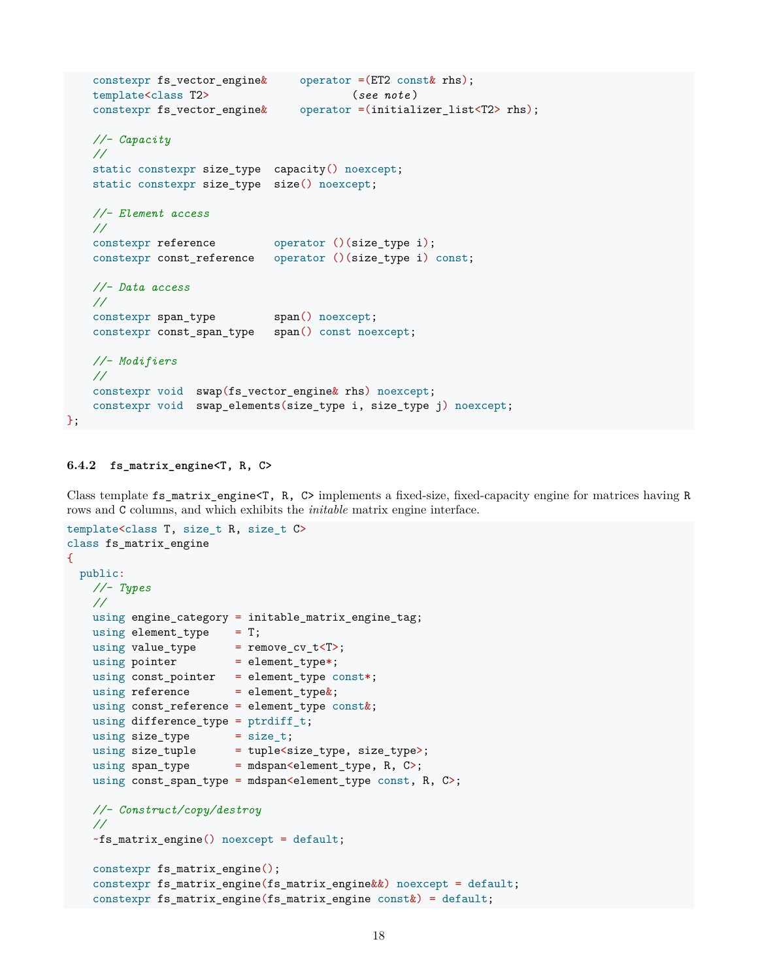```
constexpr fs_vector_engine& operator =(ET2 const& rhs);
template<class T2> (see note )
constexpr fs_vector_engine& operator =(initializer_list<T2> rhs);
//- Capacity
//
static constexpr size_type capacity() noexcept;
static constexpr size_type size() noexcept;
//- Element access
//
constexpr reference operator ()(size_type i);
constexpr const_reference operator ()(size_type i) const;
//- Data access
//
constexpr span_type span() noexcept;
constexpr const_span_type span() const noexcept;
//- Modifiers
//
constexpr void swap(fs_vector_engine& rhs) noexcept;
constexpr void swap_elements(size_type i, size_type j) noexcept;
```
### <span id="page-17-0"></span>**6.4.2 fs\_matrix\_engine<T, R, C>**

};

Class template fs\_matrix\_engine<T, R, C> implements a fixed-size, fixed-capacity engine for matrices having R rows and C columns, and which exhibits the *initable* matrix engine interface.

```
template<class T, size_t R, size_t C>
class fs_matrix_engine
{
 public:
   //- Types
   //
   using engine_category = initable_matrix_engine_tag;
   using element_type = T;
    using value_type = remove_cv_t<T>;
    using pointer = element_type*;
   using const_pointer = element_type const*;
   using reference = element_type&;
   using const_reference = element_type const&;
   using difference_type = ptrdiff_t;
   using size_type = size_t;<br>using size_type = tuple \le size_type, size_type;
    using size_tuple = tuple<size_type, size_type>;
    using span_type = mdspan<element_type, R, C>;
   using const_span_type = mdspan<element_type const, R, C>;
   //- Construct/copy/destroy
   //
   ~fs_matrix_engine() noexcept = default;
   constexpr fs matrix engine();
   constexpr fs_matrix_engine(fs_matrix_engine&&) noexcept = default;
   constexpr fs_matrix_engine(fs_matrix_engine const&) = default;
```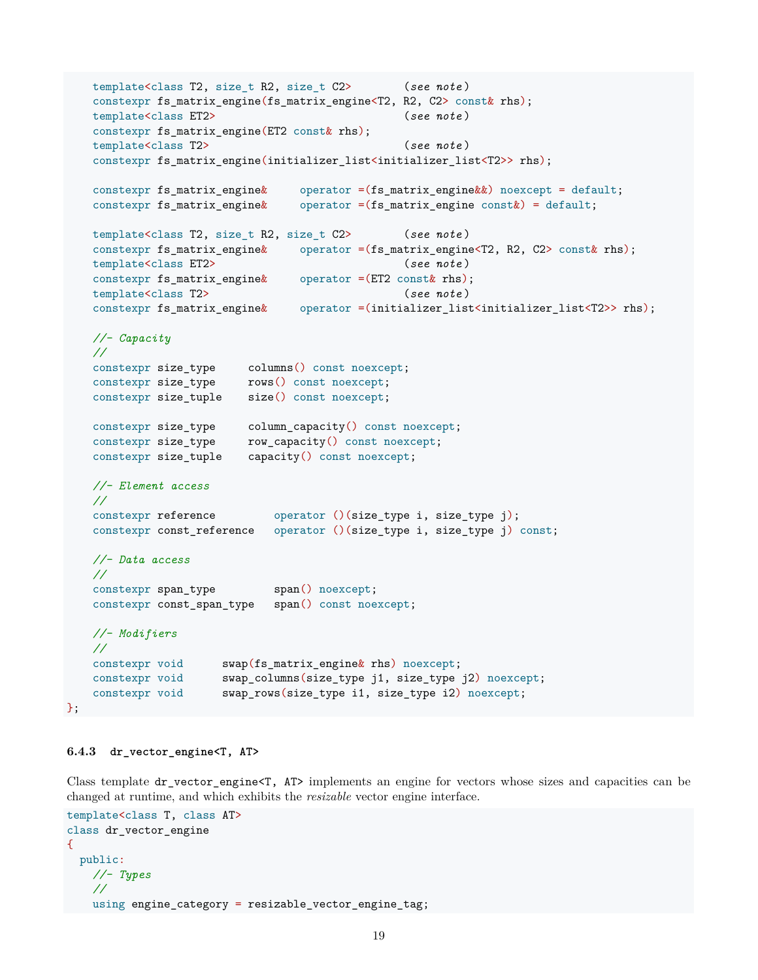```
template<class T2, size_t R2, size_t C2> (see note )
constexpr fs_matrix_engine(fs_matrix_engine<T2, R2, C2> const& rhs);
template<class ET2> (see note )
constexpr fs matrix engine(ET2 const& rhs);
template<class T2> (see note )
constexpr fs_matrix_engine(initializer_list<initializer_list<T2>> rhs);
constexpr fs_matrix_engine& operator =(fs_matrix_engine&&) noexcept = default;
constexpr fs_matrix_engine& operator =(fs_matrix_engine const&) = default;
template<class T2, size_t R2, size_t C2> (see note )
constexpr fs_matrix_engine& operator =(fs_matrix_engine<T2, R2, C2> const& rhs);
template<class ET2> (see note )
constexpr fs_matrix_engine& operator =(ET2 const& rhs);
template<class T2> (see note )
constexpr fs_matrix_engine& operator =(initializer_list<initializer_list<T2>> rhs);
//- Capacity
//
constexpr size_type columns() const noexcept;
constexpr size_type rows() const noexcept;
constexpr size_tuple size() const noexcept;
constexpr size_type column_capacity() const noexcept;
constexpr size_type row_capacity() const noexcept;
constexpr size_tuple capacity() const noexcept;
//- Element access
//
constexpr reference operator ()(size_type i, size_type j);
constexpr const_reference operator ()(size_type i, size_type j) const;
//- Data access
//
constexpr span_type span() noexcept;
constexpr const_span_type span() const noexcept;
//- Modifiers
//
constexpr void swap(fs_matrix_engine& rhs) noexcept;
constexpr void swap_columns(size_type j1, size_type j2) noexcept;
constexpr void swap_rows(size_type i1, size_type i2) noexcept;
```
### <span id="page-18-0"></span>**6.4.3 dr\_vector\_engine<T, AT>**

};

Class template dr\_vector\_engine<T, AT> implements an engine for vectors whose sizes and capacities can be changed at runtime, and which exhibits the *resizable* vector engine interface.

```
template<class T, class AT>
class dr_vector_engine
{
 public:
   //- Types
   //
   using engine_category = resizable_vector_engine_tag;
```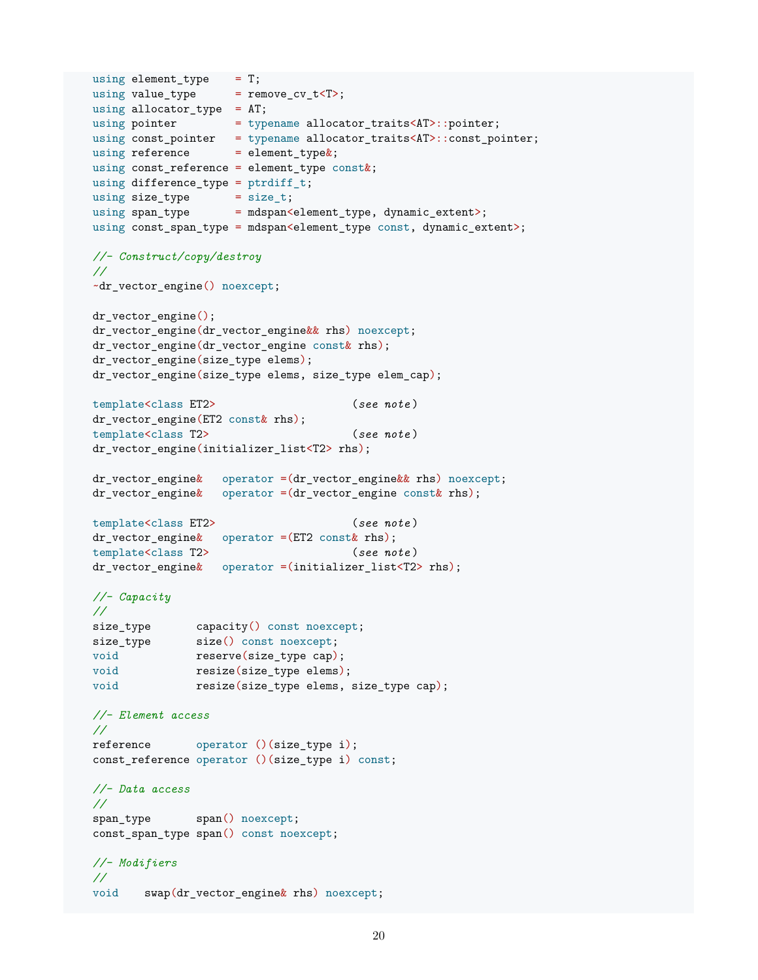```
using element_type = T;
using value_type = remove_cv_t<T>;
using allocator_type = AT;
using pointer = typename allocator_traits<AT>::pointer;
using const_pointer = typename allocator_traits<AT>::const_pointer;
using reference = element type\&;
using const_reference = element_type const&;
using difference_type = ptrdiff_t;
using size_type = size_t;
using span_type = mdspan<element_type, dynamic_extent>;
using const_span_type = mdspan<element_type const, dynamic_extent>;
//- Construct/copy/destroy
//
~dr_vector_engine() noexcept;
dr vector engine();
dr_vector_engine(dr_vector_engine&& rhs) noexcept;
dr_vector_engine(dr_vector_engine const& rhs);
dr_vector_engine(size_type elems);
dr_vector_engine(size_type elems, size_type elem_cap);
template<class ET2> (see note )
dr_vector_engine(ET2 const& rhs);
template<class T2> (see note )
dr_vector_engine(initializer_list<T2> rhs);
dr<sub>v</sub>ector_engine& operator =(dr<sub>vector_engine&& rhs) noexcept;</sub>
dr_vector_engine& operator =(dr_vector_engine const& rhs);
template<class ET2> (see note )
dr\_vector\_engine\& operator =(ET2 const r rhs);
template<class T2> (see note )
dr_vector_engine& operator =(initializer_list<T2> rhs);
//- Capacity
//
size_type capacity() const noexcept;
size_type size() const noexcept;
void reserve(size type cap);
void resize(size_type elems);
void resize(size_type elems, size_type cap);
//- Element access
//
reference operator ()(size_type i);
const_reference operator ()(size_type i) const;
//- Data access
//
span type span() noexcept;
const_span_type span() const noexcept;
//- Modifiers
//
void swap(dr_vector_engine& rhs) noexcept;
```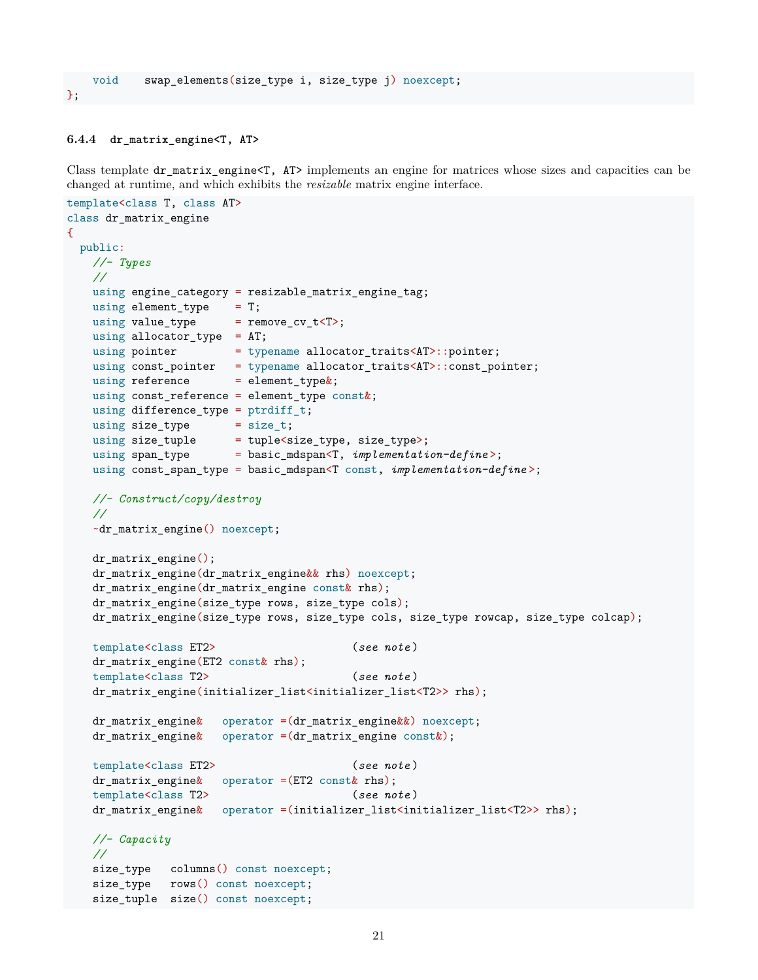#### <span id="page-20-0"></span>**6.4.4 dr\_matrix\_engine<T, AT>**

};

Class template dr\_matrix\_engine<T, AT> implements an engine for matrices whose sizes and capacities can be changed at runtime, and which exhibits the *resizable* matrix engine interface.

```
template<class T, class AT>
class dr_matrix_engine
\mathcal{L}public:
   //- Types
   //
   using engine_category = resizable_matrix_engine_tag;
   using element_type = T;
   using value_type = remove_cv_t<T>;
   using allocator_type = AT;
   using pointer = typename allocator_traits<AT>::pointer;
   using const_pointer = typename allocator_traits<AT>::const_pointer;
   using reference = element_type\&;
   using const_reference = element_type const&;
   using difference_type = ptrdiff_t;
   using size_type = size_t;
   using size_tuple = tuple<size_type, size_type>;
   using span_type = basic_mdspan<T, implementation-define >;
   using const_span_type = basic_mdspan<T const, implementation-define >;
   //- Construct/copy/destroy
   //
   ~dr_matrix_engine() noexcept;
   dr_matrix_engine();
   dr_matrix_engine(dr_matrix_engine&& rhs) noexcept;
   dr_matrix_engine(dr_matrix_engine const& rhs);
   dr_matrix_engine(size_type rows, size_type cols);
   dr_matrix_engine(size_type rows, size_type cols, size_type rowcap, size_type colcap);
   template<class ET2> (see note )
   dr_matrix_engine(ET2 const& rhs);
   template<class T2> (see note )
   dr_matrix_engine(initializer_list<initializer_list<T2>> rhs);
   dr_matrix_engine& operator =(dr_matrix_engine&&) noexcept;
   dr_matrix_engine& operator =(dr_matrix_engine const&);
   template<class ET2> (see note )
   dr_matrix_engine& operator =(ET2 const& rhs);
   template<class T2> (see note )
   dr_matrix_engine& operator =(initializer_list<initializer_list<T2>> rhs);
   //- Capacity
   //
   size_type columns() const noexcept;
   size_type rows() const noexcept;
   size_tuple size() const noexcept;
```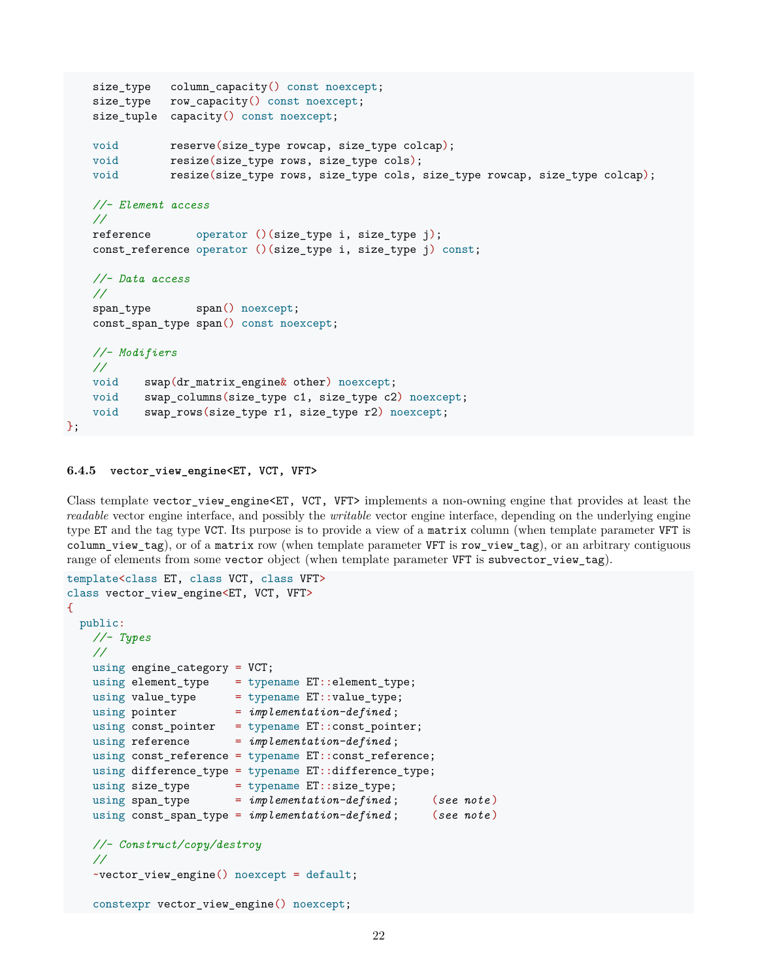```
size_type column_capacity() const noexcept;
size_type row_capacity() const noexcept;
size_tuple capacity() const noexcept;
void reserve(size_type rowcap, size_type colcap);
void resize(size_type rows, size_type cols);
void resize(size_type rows, size_type cols, size_type rowcap, size_type colcap);
//- Element access
//
reference operator ()(size_type i, size_type j);
const_reference operator ()(size_type i, size_type j) const;
//- Data access
//
span type span() noexcept;
const_span_type span() const noexcept;
//- Modifiers
//
void swap(dr_matrix_engine& other) noexcept;
void swap_columns(size_type c1, size_type c2) noexcept;
void swap_rows(size_type r1, size_type r2) noexcept;
```

```
6.4.5 vector_view_engine<ET, VCT, VFT>
```
};

Class template vector\_view\_engine<ET, VCT, VFT> implements a non-owning engine that provides at least the *readable* vector engine interface, and possibly the *writable* vector engine interface, depending on the underlying engine type ET and the tag type VCT. Its purpose is to provide a view of a matrix column (when template parameter VFT is column\_view\_tag), or of a matrix row (when template parameter VFT is row\_view\_tag), or an arbitrary contiguous range of elements from some vector object (when template parameter VFT is subvector\_view\_tag).

```
template<class ET, class VCT, class VFT>
class vector_view_engine<ET, VCT, VFT>
{
 public:
   //- Types
   //
   using engine_category = VCT;
   using element type = typename ET::element type;
   using value_type = typename ET::value\_type;using pointer = implementation-defined;
   using const_pointer = typename ET::const_pointer;
   using reference = implementation-defined;
   using const_reference = typename ET::const_reference;
   using difference_type = typename ET::difference_type;
   using size_type = typename ET: size\_type;using span_type = implementation-defined ; (see note )
   using const_span_type = implementation-defined;//- Construct/copy/destroy
   //
   ~vector_view_engine() noexcept = default;
   constexpr vector_view_engine() noexcept;
```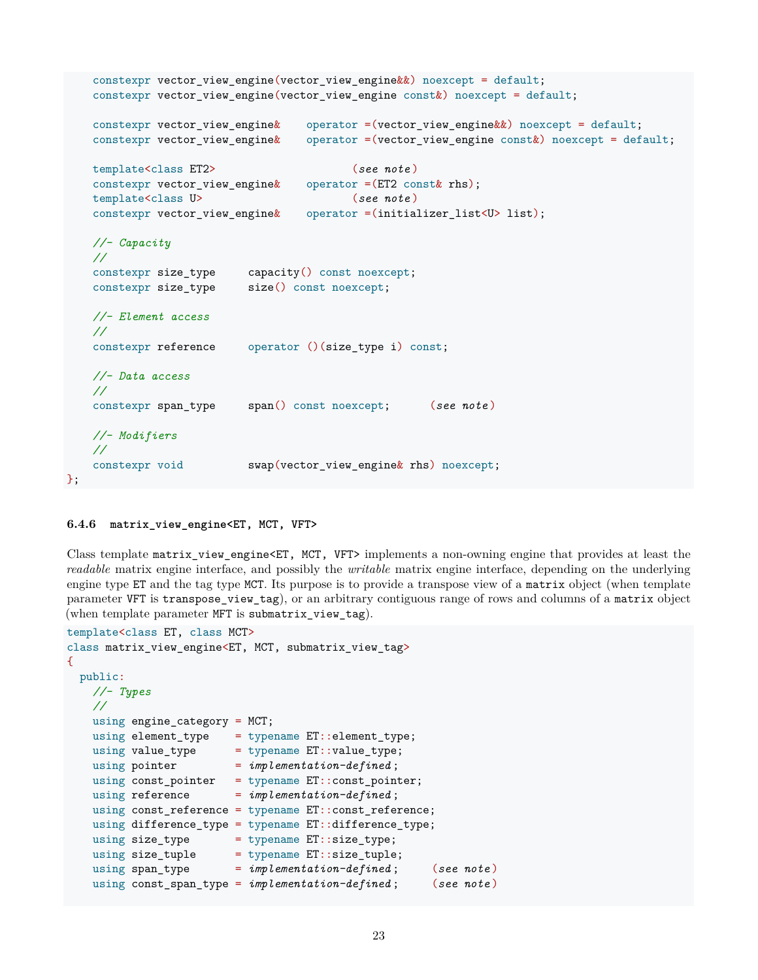```
constexpr vector_view_engine(vector_view_engine&&) noexcept = default;
constexpr vector_view_engine(vector_view_engine const&) noexcept = default;
constexpr vector view engine \& operator =(vector view engine \&) noexcept = default;
constexpr vector_view_engine& operator =(vector_view_engine const&) noexcept = default;
template<class ET2> (see note )
constexpr vector_view_engine& operator =(ET2 const& rhs);
template<class U> (see note )
constexpr vector_view_engine& operator =(initializer_list<U> list);
//- Capacity
//
constexpr size_type capacity() const noexcept;
constexpr size_type size() const noexcept;
//- Element access
//
constexpr reference operator ()(size_type i) const;
//- Data access
//
constexpr span_type span() const noexcept; (see note )
//- Modifiers
//
constexpr void swap(vector_view_engine& rhs) noexcept;
```
#### <span id="page-22-0"></span>**6.4.6 matrix\_view\_engine<ET, MCT, VFT>**

};

Class template matrix\_view\_engine<ET, MCT, VFT> implements a non-owning engine that provides at least the *readable* matrix engine interface, and possibly the *writable* matrix engine interface, depending on the underlying engine type ET and the tag type MCT. Its purpose is to provide a transpose view of a matrix object (when template parameter VFT is transpose\_view\_tag), or an arbitrary contiguous range of rows and columns of a matrix object (when template parameter MFT is submatrix\_view\_tag).

```
template<class ET, class MCT>
class matrix_view_engine<ET, MCT, submatrix_view_tag>
{
 public:
   //- Types
   //
   using engine_category = MCT;
   using element_type = typename ET::element_type;
   using value_type = typename ET::value\_type;using pointer = implementation-defined;
   using const\_pointer = typename ET::const\_pointer;using reference = implementation-defined;
   using const_reference = typename ET::const_reference;
   using difference_type = typename ET::difference_type;
   using size_type = typename ET:size\_type;using size_tuple = typename ET::size_tuple;
   using span_type = implementation-defined; (see note)
   using const_span_type = implementation-defined ; (see note )
```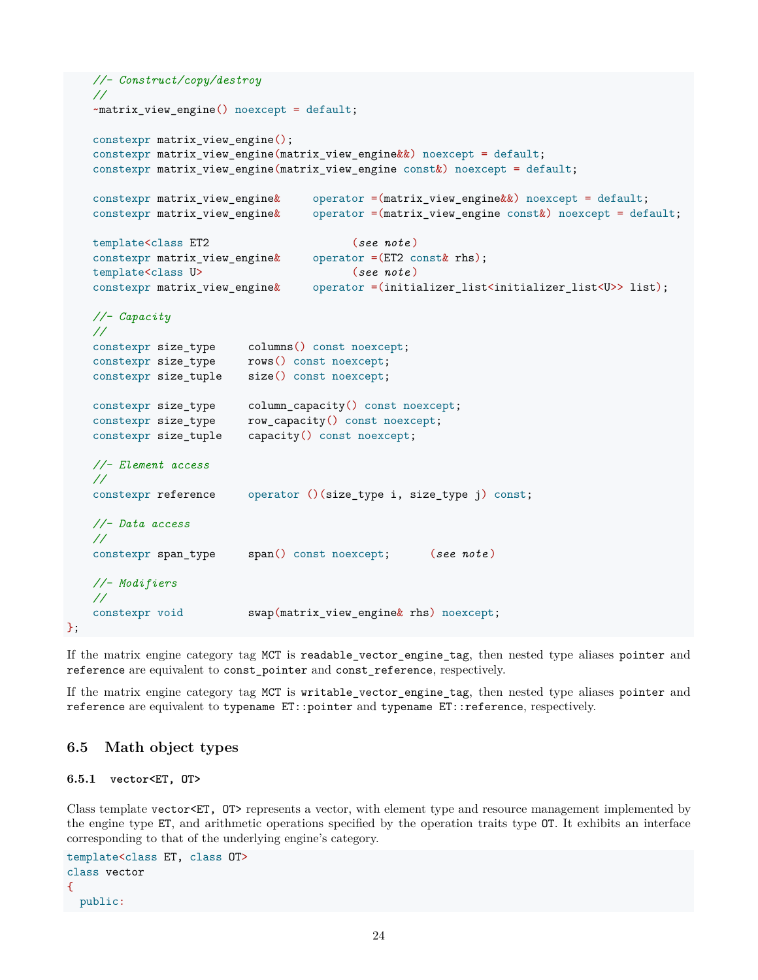```
//- Construct/copy/destroy
//
~matrix_view_engine() noexcept = default;
constexpr matrix_view_engine();
constexpr matrix_view_engine(matrix_view_engine&&) noexcept = default;
constexpr matrix_view_engine(matrix_view_engine const&) noexcept = default;
constexpr matrix_view_engine& operator =(matrix_view_engine&&) noexcept = default;
constexpr matrix_view_engine& operator =(matrix_view_engine const&) noexcept = default;
template<class ET2 (see note )
constexpr matrix_view_engine& operator =(ET2 const& rhs);
template<class U> (see note )
constexpr matrix_view_engine& operator =(initializer_list<initializer_list<U>> list);
//- Capacity
//
                      columns() const noexcept;
constexpr size_type rows() const noexcept;
constexpr size_tuple size() const noexcept;
constexpr size_type column_capacity() const noexcept;
constexpr size_type row_capacity() const noexcept;
constexpr size_tuple capacity() const noexcept;
//- Element access
//
constexpr reference operator ()(size_type i, size_type j) const;
//- Data access
//
constexpr span_type span() const noexcept; (see note )
//- Modifiers
//
constexpr void swap(matrix_view_engine& rhs) noexcept;
```
If the matrix engine category tag MCT is readable\_vector\_engine\_tag, then nested type aliases pointer and reference are equivalent to const\_pointer and const\_reference, respectively.

If the matrix engine category tag MCT is writable\_vector\_engine\_tag, then nested type aliases pointer and reference are equivalent to typename ET::pointer and typename ET::reference, respectively.

### <span id="page-23-0"></span>**6.5 Math object types**

### <span id="page-23-1"></span>**6.5.1 vector<ET, OT>**

};

Class template vector<ET,  $OT$ > represents a vector, with element type and resource management implemented by the engine type ET, and arithmetic operations specified by the operation traits type OT. It exhibits an interface corresponding to that of the underlying engine's category.

```
template<class ET, class OT>
class vector
{
 public:
```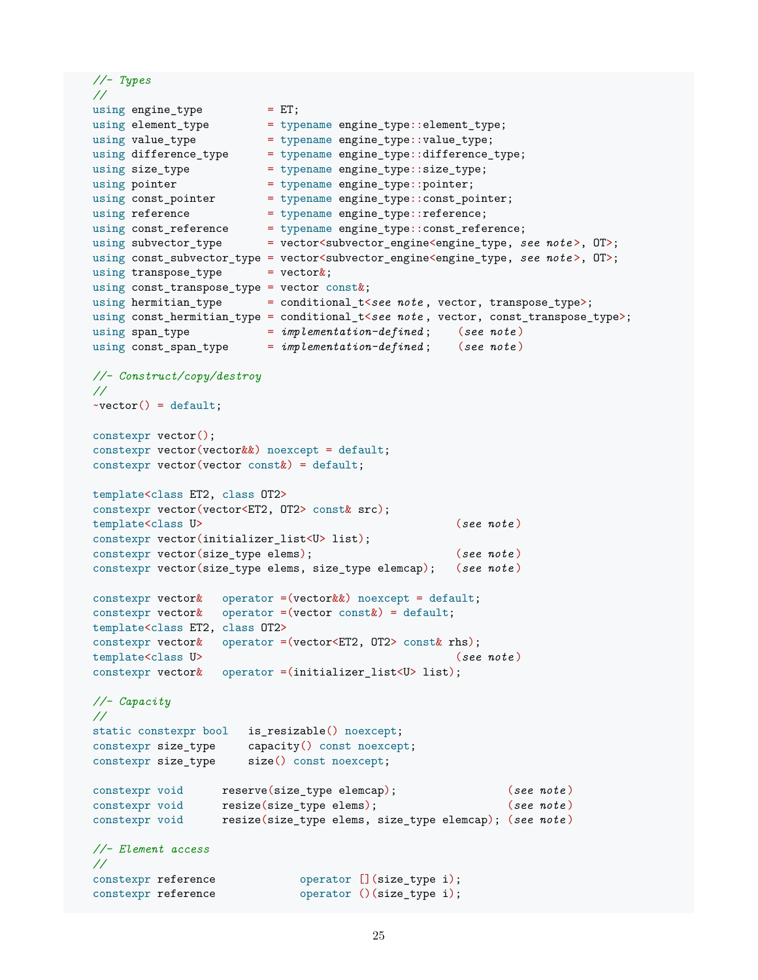```
//- Types
//
using engine_type = ET;using element_type = typename engine_type::element type;
using value_type = typename engine_type::value_type;
using difference_type = typename engine_type::difference_type;
using size_type = typename engine_type::size_type;
using pointer = typename engine_type::pointer;
using const_pointer = typename engine_type::const_pointer;
using reference = typename engine_type::reference;
using const_reference = typename engine_type::const_reference;
using subvector_type = vector<subvector_engine<engine_type, see note >, OT>;
using const_subvector_type = vector<subvector_engine<engine_type, see note >, OT>;
using transpose_type = vector\&;
using const_transpose_type = vector const&;
using hermitian_type = conditional_t<see note, vector, transpose_type>;
using const_hermitian_type = conditional_t<see note, vector, const_transpose_type>;
using span_type = implementation-defined ; (see note )
using const_span_type = implementation-defined ; (see note )
//- Construct/copy/destroy
//
\text{-vector}() = \text{default};constexpr vector();
constexpr vector(vector&&) noexcept = default;
constexpr vector(vector const&) = default;
template<class ET2, class OT2>
constexpr vector(vector<ET2, OT2> const& src);
template<class U> (see note )
constexpr vector(initializer_list<U> list);
constexpr vector(size_type elems); (see note )
constexpr vector(size_type elems, size_type elemcap); (see note )
constexpr vector\& operator =(vector\&) noexcept = default;
constexpr vector\& operator =(vector const\&) = default;
template<class ET2, class OT2>
constexpr vector& operator =(vector<ET2, OT2> const& rhs);
template<class U> (see note )
constexpr vector& operator =(initializer_list<U> list);
//- Capacity
//
static constexpr bool is_resizable() noexcept;
constexpr size_type capacity() const noexcept;
constexpr size_type size() const noexcept;
constexpr void reserve(size_type elemcap); (see note )
constexpr void resize(size_type elems); (see note )
constexpr void resize(size_type elems, size_type elemcap); (see note )
//- Element access
//
constexpr reference operator [](size_type i);
constexpr reference operator ()(size_type i);
```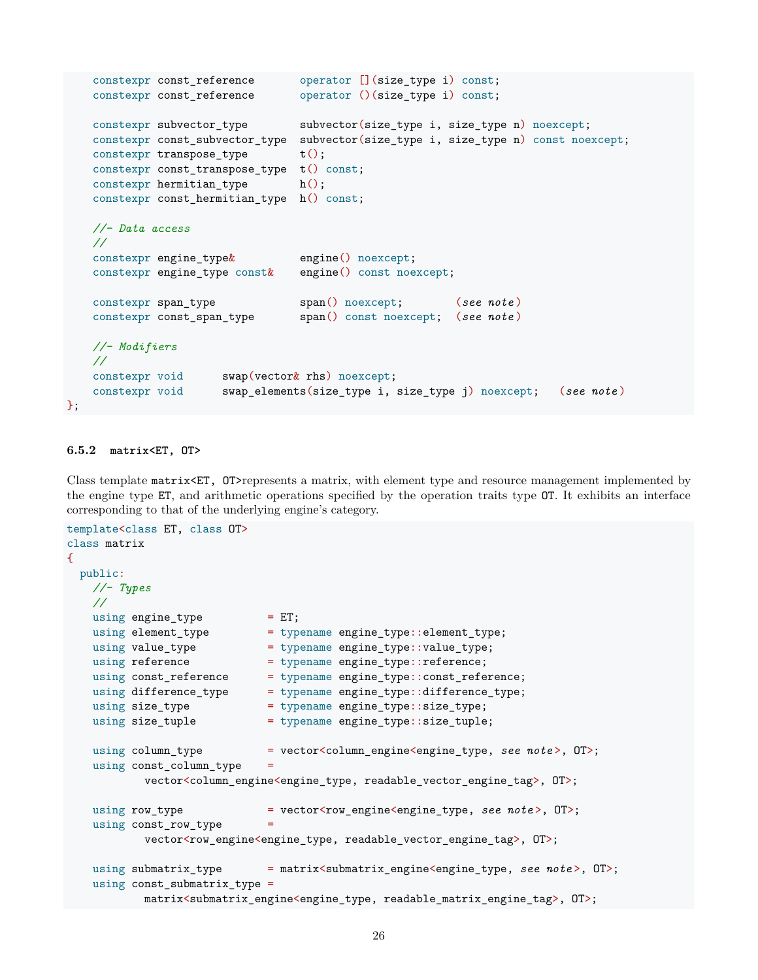```
constexpr const_reference operator [](size_type i) const;
constexpr const_reference operator ()(size_type i) const;
constexpr subvector_type subvector(size_type i, size_type n) noexcept;
constexpr const_subvector_type subvector(size_type i, size_type n) const noexcept;
constexpr transpose_type t();
constexpr const_transpose_type t() const;
constexpr hermitian_type h();
constexpr const_hermitian_type h() const;
//- Data access
//
constexpr engine_type& engine() noexcept;
constexpr engine_type const& engine() const noexcept;
constexpr span_type span() noexcept; (see note )
constexpr const_span_type span() const noexcept; (see note )
//- Modifiers
//
constexpr void swap(vector& rhs) noexcept;
constexpr void swap_elements(size_type i, size_type j) noexcept; (see note )
```
### <span id="page-25-0"></span>**6.5.2 matrix<ET, OT>**

};

Class template matrix<ET, OT>represents a matrix, with element type and resource management implemented by the engine type ET, and arithmetic operations specified by the operation traits type OT. It exhibits an interface corresponding to that of the underlying engine's category.

```
template<class ET, class OT>
class matrix
{
 public:
   //- Types
   //
   using engine type = ET;using element_type = typename engine_type::element_type;
   using value_type = typename engine_type::value_type;
   using reference = typename engine_type::reference;
   using const_reference = typename engine_type::const_reference;
   using difference_type = typename engine_type::difference_type;
   using size_type = typename engine_type::size_type;
   using size_tuple = typename engine_type::size_tuple;
   using column type = vector<column engine<engine type, see note>, OT>;
   using const_column_type =
          vector<column_engine<engine_type, readable_vector_engine_tag>, OT>;
   using row_type = vector<row_engine<engine_type, see note>, OT>;
   using const_{row\_type} =
          vector<row_engine<engine_type, readable_vector_engine_tag>, OT>;
   using submatrix_type = matrix<submatrix_engine<engine_type, see note>, OT>;
   using const_submatrix_type =
          matrix<submatrix_engine<engine_type, readable_matrix_engine_tag>, OT>;
```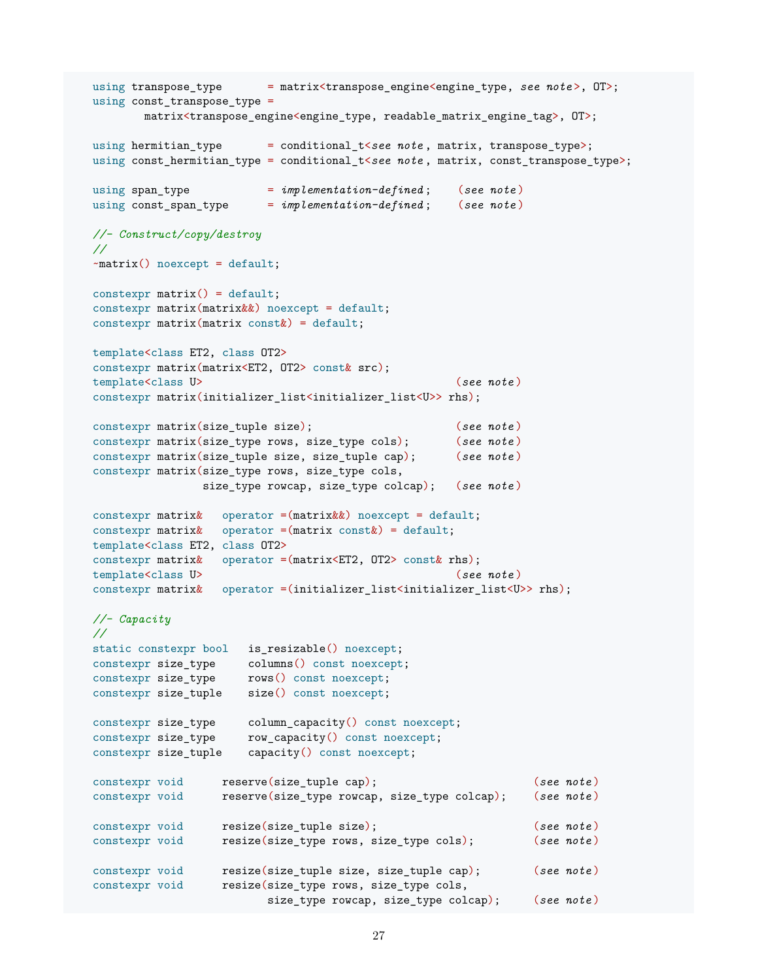```
using transpose_type = matrix<transpose_engine<engine_type, see note>, OT>;
using const_transpose_type =
       matrix<transpose_engine<engine_type, readable_matrix_engine_tag>, OT>;
using hermitian_type = conditional_t<see note, matrix, transpose_type>;
using const_hermitian_type = conditional_t<see note, matrix, const_transpose_type>;
using span_type = implementation-defined ; (see note )
using const_span_type = implementation-defined ; (see note )
//- Construct/copy/destroy
//
~matrix() noexcept = default;
constexpr matrix() = default;constexpr matrix(maxtrix&) noexcept = default;
constexpr matrix(maxrix \text{ const} k) = default;template<class ET2, class OT2>
constexpr matrix(matrix<ET2, OT2> const& src);
template<class U> (see note )
constexpr matrix(initializer_list<initializer_list<U>> rhs);
constexpr matrix(size_tuple size); (see note )
constexpr matrix(size_type rows, size_type cols); (see note )
constexpr matrix(size_tuple size, size_tuple cap); (see note )
constexpr matrix(size_type rows, size_type cols,
              size_type rowcap, size_type colcap); (see note )
constexpr matrix& operator =(matrix&&) noexcept = default;
constexpr matrix& operator =(matrix const&) = default;
template<class ET2, class OT2>
constexpr matrix& operator =(matrix<ET2, OT2> const& rhs);
template<class U> (see note )
constexpr matrix& operator =(initializer_list<initializer_list<U>> rhs);
//- Capacity
//
static constexpr bool is_resizable() noexcept;
constexpr size_type columns() const noexcept;
constexpr size_type rows() const noexcept;
constexpr size_tuple size() const noexcept;
constexpr size_type column_capacity() const noexcept;
constexpr size_type row_capacity() const noexcept;
constexpr size_tuple capacity() const noexcept;
constexpr void reserve(size_tuple cap); (see note )
constexpr void reserve(size_type rowcap, size_type colcap); (see note )
constexpr void resize(size_tuple size); (see note )
constexpr void resize(size_type rows, size_type cols); (see note )
constexpr void resize(size_tuple size, size_tuple cap); (see note )
constexpr void resize(size_type rows, size_type cols,
                        size_type rowcap, size_type colcap); (see note )
```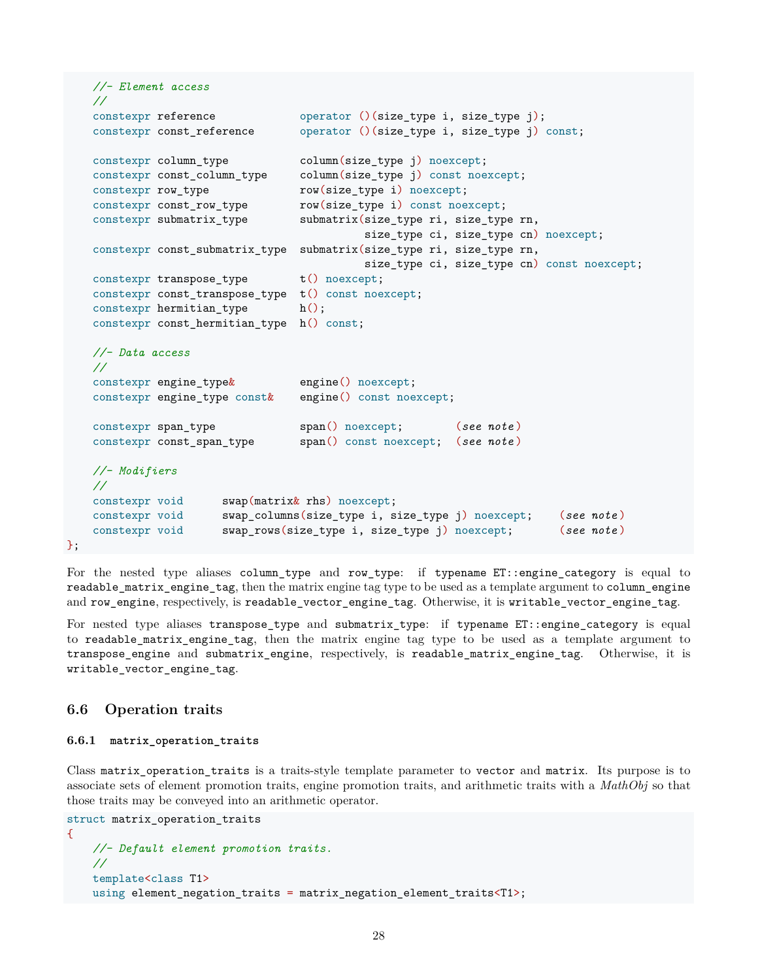```
//- Element access
//
constexpr reference operator ()(size_type i, size_type j);
constexpr const reference \qquad \qquad operator ()(size type i, size type j) const;
constexpr column_type column(size_type j) noexcept;
constexpr const_column_type column(size_type j) const noexcept;
constexpr row_type row(size_type i) noexcept;
constexpr const_row_type row(size_type i) const noexcept;
constexpr submatrix_type submatrix(size_type ri, size_type rn,
                                      size_type ci, size_type cn) noexcept;
constexpr const_submatrix_type submatrix(size_type ri, size_type rn,
                                      size_type ci, size_type cn) const noexcept;
constexpr transpose_type t() noexcept;
constexpr const_transpose_type t() const noexcept;
constexpr hermitian_type h();
constexpr const_hermitian_type h() const;
//- Data access
//
constexpr engine_type& engine() noexcept;
constexpr engine_type const& engine() const noexcept;
constexpr span_type span() noexcept; (see note )
constexpr const_span_type span() const noexcept; (see note )
//- Modifiers
//
constexpr void swap(matrix& rhs) noexcept;
constexpr void swap_columns(size_type i, size_type j) noexcept; (see note )
constexpr void swap_rows(size_type i, size_type j) noexcept; (see note )
```
For the nested type aliases column\_type and row\_type: if typename ET::engine\_category is equal to readable matrix engine tag, then the matrix engine tag type to be used as a template argument to column engine and row\_engine, respectively, is readable\_vector\_engine\_tag. Otherwise, it is writable\_vector\_engine\_tag.

For nested type aliases transpose\_type and submatrix\_type: if typename ET::engine\_category is equal to readable\_matrix\_engine\_tag, then the matrix engine tag type to be used as a template argument to transpose\_engine and submatrix\_engine, respectively, is readable\_matrix\_engine\_tag. Otherwise, it is writable\_vector\_engine\_tag.

### <span id="page-27-0"></span>**6.6 Operation traits**

};

#### <span id="page-27-1"></span>**6.6.1 matrix\_operation\_traits**

Class matrix operation traits is a traits-style template parameter to vector and matrix. Its purpose is to associate sets of element promotion traits, engine promotion traits, and arithmetic traits with a *MathObj* so that those traits may be conveyed into an arithmetic operator.

```
struct matrix_operation_traits
\mathcal{L}//- Default element promotion traits.
    //
    template<class T1>
    using element negation traits = matrix_negation_element traits<T1>;
```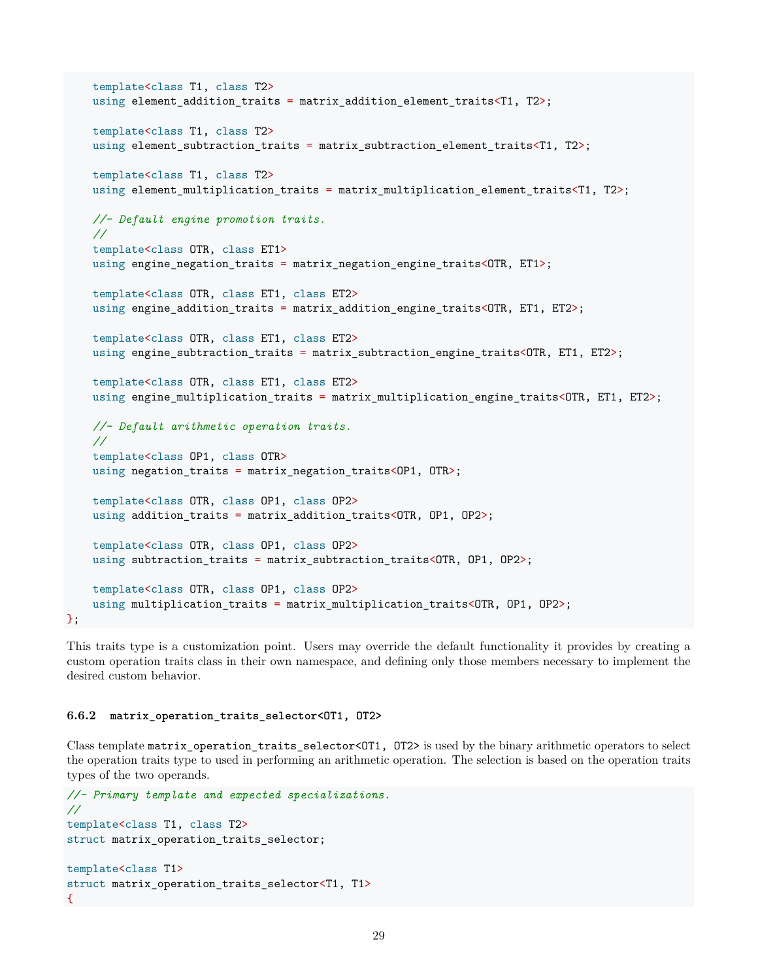```
template<class T1, class T2>
using element_addition_traits = matrix_addition_element_traits<T1, T2>;
template<class T1, class T2>
using element_subtraction_traits = matrix_subtraction_element_traits<T1, T2>;
template<class T1, class T2>
using element_multiplication_traits = matrix_multiplication_element_traits<T1, T2>;
//- Default engine promotion traits.
//
template<class OTR, class ET1>
using engine_negation_traits = matrix_negation_engine_traits<OTR, ET1>;
template<class OTR, class ET1, class ET2>
using engine_addition_traits = matrix_addition_engine_traits<OTR, ET1, ET2>;
template<class OTR, class ET1, class ET2>
using engine_subtraction_traits = matrix_subtraction_engine_traits<OTR, ET1, ET2>;
template<class OTR, class ET1, class ET2>
using engine_multiplication_traits = matrix_multiplication_engine_traits<OTR, ET1, ET2>;
//- Default arithmetic operation traits.
//
template<class OP1, class OTR>
using negation_traits = matrix_negation_traits<OP1, OTR>;
template<class OTR, class OP1, class OP2>
using addition_traits = matrix_addition_traits<OTR, OP1, OP2>;
template<class OTR, class OP1, class OP2>
using subtraction_traits = matrix_subtraction_traits<OTR, OP1, OP2>;
template<class OTR, class OP1, class OP2>
using multiplication_traits = matrix_multiplication_traits<OTR, OP1, OP2>;
```
This traits type is a customization point. Users may override the default functionality it provides by creating a custom operation traits class in their own namespace, and defining only those members necessary to implement the desired custom behavior.

#### <span id="page-28-0"></span>**6.6.2 matrix\_operation\_traits\_selector<OT1, OT2>**

};

Class template matrix\_operation\_traits\_selector<OT1, OT2> is used by the binary arithmetic operators to select the operation traits type to used in performing an arithmetic operation. The selection is based on the operation traits types of the two operands.

```
//- Primary template and expected specializations.
//
template<class T1, class T2>
struct matrix_operation_traits_selector;
template<class T1>
struct matrix_operation_traits_selector<T1, T1>
{
```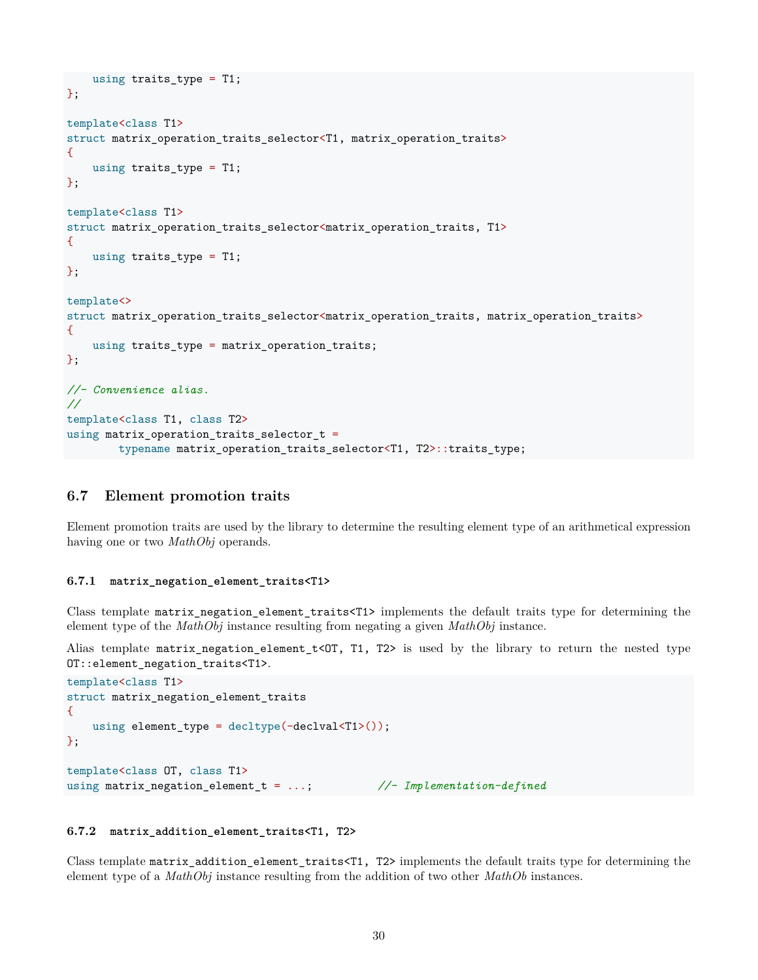```
using traits_type = T1;
};
template<class T1>
struct matrix_operation_traits_selector<T1, matrix_operation_traits>
{
    using traits_type = T1;
};
template<class T1>
struct matrix_operation_traits_selector<matrix_operation_traits, T1>
\mathcal{L}using traits_type = T1;
};
template<>
struct matrix_operation_traits_selector<matrix_operation_traits, matrix_operation_traits>
\{using traits_type = matrix_operation_traits;
};
//- Convenience alias.
//
template<class T1, class T2>
using matrix_operation_traits_selector_t =
        typename matrix_operation_traits_selector<T1, T2>::traits_type;
```
### <span id="page-29-0"></span>**6.7 Element promotion traits**

Element promotion traits are used by the library to determine the resulting element type of an arithmetical expression having one or two *MathObj* operands.

#### <span id="page-29-1"></span>**6.7.1 matrix\_negation\_element\_traits<T1>**

Class template matrix\_negation\_element\_traits<T1> implements the default traits type for determining the element type of the *MathObj* instance resulting from negating a given *MathObj* instance.

Alias template matrix\_negation\_element\_t<OT, T1, T2> is used by the library to return the nested type OT::element\_negation\_traits<T1>.

```
template<class T1>
struct matrix_negation_element_traits
{
   using element_type = decltype(-declval<T1>());
};
template<class OT, class T1>
using matrix_negation_element_t = ...; //- Implementation-defined
```
#### <span id="page-29-2"></span>**6.7.2 matrix\_addition\_element\_traits<T1, T2>**

Class template matrix\_addition\_element\_traits<T1, T2> implements the default traits type for determining the element type of a *MathObj* instance resulting from the addition of two other *MathOb* instances.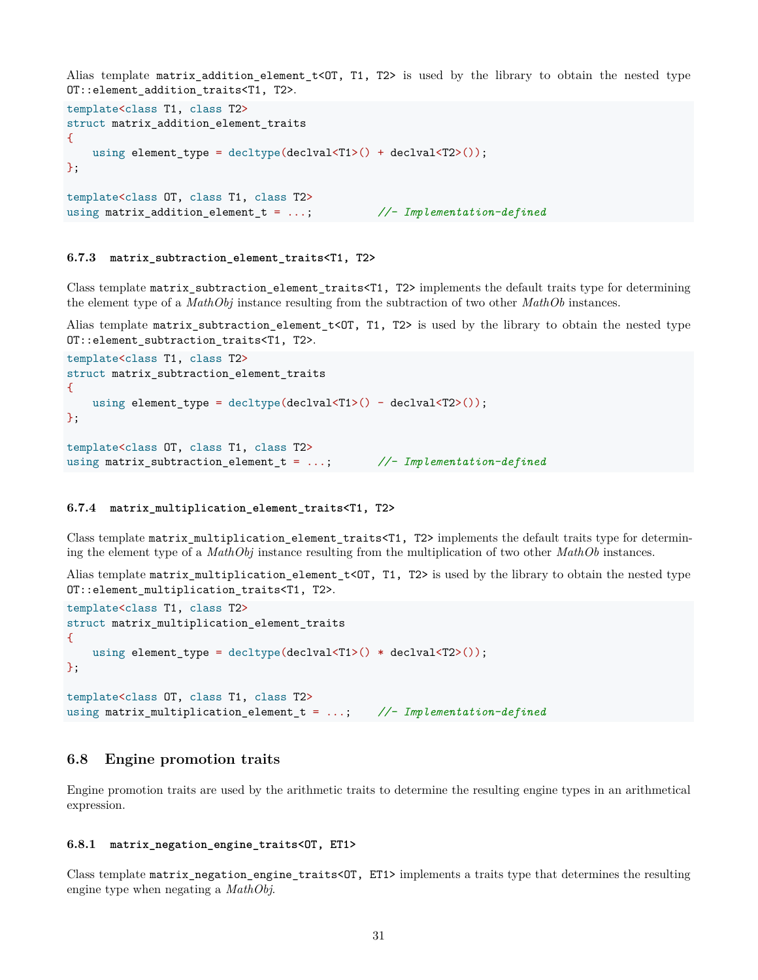Alias template matrix\_addition\_element\_t<OT, T1, T2> is used by the library to obtain the nested type OT::element\_addition\_traits<T1, T2>.

```
template<class T1, class T2>
struct matrix_addition_element_traits
\mathcal{F}using element type = decltype(declval<T1>() + declval<T2>());
};
template<class OT, class T1, class T2>
using matrix_addition_element_t = ...; //- Implementation-defined
```
#### <span id="page-30-0"></span>**6.7.3 matrix\_subtraction\_element\_traits<T1, T2>**

Class template matrix\_subtraction\_element\_traits<T1, T2> implements the default traits type for determining the element type of a *MathObj* instance resulting from the subtraction of two other *MathOb* instances.

Alias template matrix\_subtraction\_element\_t<OT, T1, T2> is used by the library to obtain the nested type OT::element\_subtraction\_traits<T1, T2>.

```
template<class T1, class T2>
struct matrix_subtraction_element_traits
{
   using element_type = decltype(declval<T1>() - declval<T2>());
};
template<class OT, class T1, class T2>
using matrix_subtraction_element_t = ...; //- Implementation-defined
```
#### <span id="page-30-1"></span>**6.7.4 matrix\_multiplication\_element\_traits<T1, T2>**

Class template matrix\_multiplication\_element\_traits<T1, T2> implements the default traits type for determining the element type of a *MathObj* instance resulting from the multiplication of two other *MathOb* instances.

Alias template matrix\_multiplication\_element\_t<OT, T1, T2> is used by the library to obtain the nested type OT::element\_multiplication\_traits<T1, T2>.

```
template<class T1, class T2>
struct matrix_multiplication_element_traits
{
   using element_type = decltype(declval<T1>() * declval<T2>());
};
template<class OT, class T1, class T2>
using matrix_multiplication_element_t = ...; //- Implementation-defined
```
### <span id="page-30-2"></span>**6.8 Engine promotion traits**

Engine promotion traits are used by the arithmetic traits to determine the resulting engine types in an arithmetical expression.

#### <span id="page-30-3"></span>**6.8.1 matrix\_negation\_engine\_traits<OT, ET1>**

Class template matrix\_negation\_engine\_traits<OT, ET1> implements a traits type that determines the resulting engine type when negating a *MathObj*.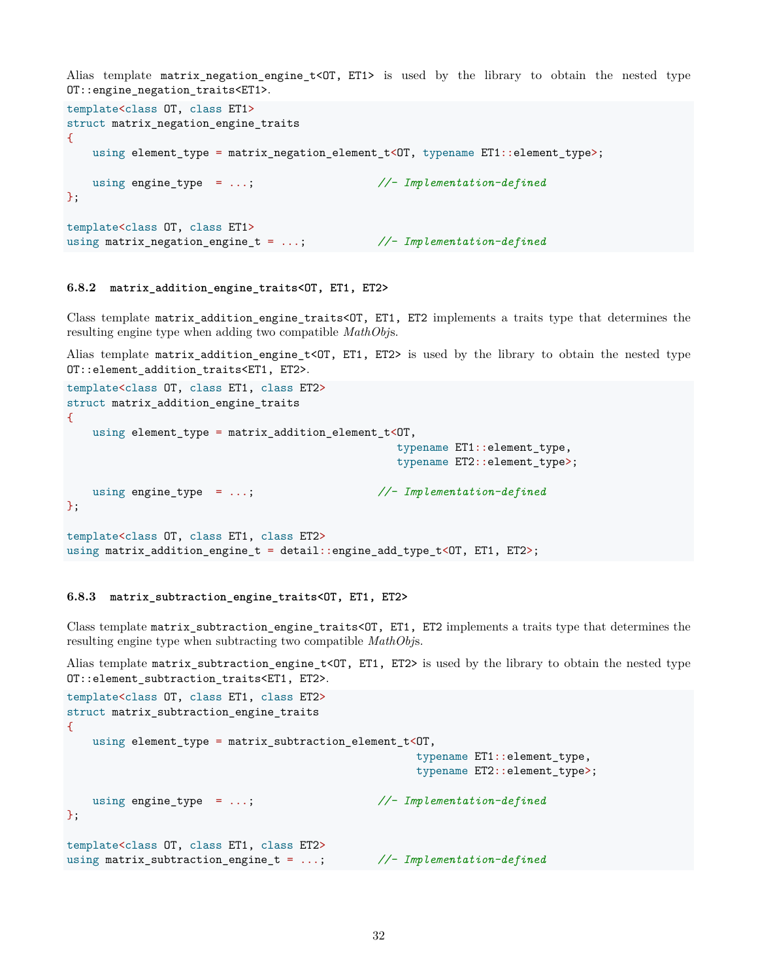Alias template matrix\_negation\_engine\_t<OT, ET1> is used by the library to obtain the nested type OT::engine\_negation\_traits<ET1>.

```
template<class OT, class ET1>
struct matrix_negation_engine_traits
\mathcal{F}using element_type = matrix_negation_element_t<OT, typename ET1::element_type>;
   using engine_type = ...; //- Implementation-defined
};
template<class OT, class ET1>
using matrix_negation_engine_t = ...; //- Implementation-defined
```
#### <span id="page-31-0"></span>**6.8.2 matrix\_addition\_engine\_traits<OT, ET1, ET2>**

Class template matrix\_addition\_engine\_traits<OT, ET1, ET2 implements a traits type that determines the resulting engine type when adding two compatible *MathObj*s.

Alias template matrix\_addition\_engine\_t<OT, ET1, ET2> is used by the library to obtain the nested type OT:: element addition traits<ET1, ET2>.

```
template<class OT, class ET1, class ET2>
struct matrix_addition_engine_traits
\mathcal{F}using element_type = matrix_addition_element_t<OT,
                                                  typename ET1::element_type,
                                                  typename ET2::element_type>;
   using engine_type = ...; //- Implementation-defined
};
template<class OT, class ET1, class ET2>
using matrix_addition_engine_t = detail::engine_add_type_t<OT, ET1, ET2>;
```
#### <span id="page-31-1"></span>**6.8.3 matrix\_subtraction\_engine\_traits<OT, ET1, ET2>**

Class template matrix\_subtraction\_engine\_traits<OT, ET1, ET2 implements a traits type that determines the resulting engine type when subtracting two compatible *MathObj*s.

Alias template matrix\_subtraction\_engine\_t<OT, ET1, ET2> is used by the library to obtain the nested type OT::element\_subtraction\_traits<ET1, ET2>.

```
template<class OT, class ET1, class ET2>
struct matrix_subtraction_engine_traits
{
   using element_type = matrix_subtraction_element_t<OT,
                                                   typename ET1::element_type,
                                                   typename ET2:: element type>;
   using engine_type = ...; //- Implementation-defined
};
template<class OT, class ET1, class ET2>
using matrix_subtraction_engine_t = ...; //- Implementation-defined
```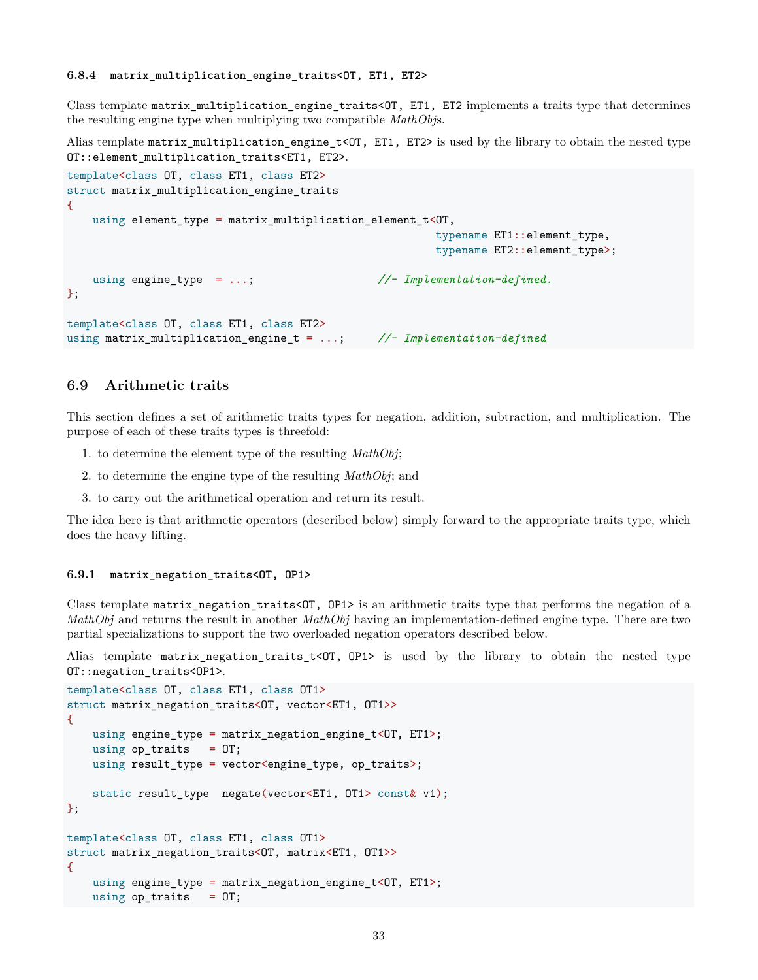<span id="page-32-0"></span>Class template matrix\_multiplication\_engine\_traits<OT, ET1, ET2 implements a traits type that determines the resulting engine type when multiplying two compatible *MathObj*s.

Alias template matrix\_multiplication\_engine\_t<OT, ET1, ET2> is used by the library to obtain the nested type OT::element\_multiplication\_traits<ET1, ET2>.

```
template<class OT, class ET1, class ET2>
struct matrix_multiplication_engine_traits
\mathcal{L}using element_type = matrix_multiplication_element_t<OT,
                                                       typename ET1::element type,
                                                       typename ET2::element_type>;
   using engine_type = ...; //- Implementation-defined.
};
template<class OT, class ET1, class ET2>
using matrix_multiplication_engine_t = ...; //- Implementation-defined
```
### <span id="page-32-1"></span>**6.9 Arithmetic traits**

This section defines a set of arithmetic traits types for negation, addition, subtraction, and multiplication. The purpose of each of these traits types is threefold:

- 1. to determine the element type of the resulting *MathObj*;
- 2. to determine the engine type of the resulting *MathObj*; and
- 3. to carry out the arithmetical operation and return its result.

The idea here is that arithmetic operators (described below) simply forward to the appropriate traits type, which does the heavy lifting.

#### <span id="page-32-2"></span>**6.9.1 matrix\_negation\_traits<OT, OP1>**

Class template matrix\_negation\_traits<OT, OP1> is an arithmetic traits type that performs the negation of a *MathObj* and returns the result in another *MathObj* having an implementation-defined engine type. There are two partial specializations to support the two overloaded negation operators described below.

Alias template matrix\_negation\_traits\_t< $OT$ , OP1> is used by the library to obtain the nested type OT::negation\_traits<OP1>.

```
template<class OT, class ET1, class OT1>
struct matrix_negation_traits<OT, vector<ET1, OT1>>
{
   using engine_type = matrix_negation_engine_t<OT, ET1>;
   using op\_traits = 0T;
   using result_type = vector<engine_type, op_traits>;
   static result_type negate(vector<ET1, OT1> const& v1);
};
template<class OT, class ET1, class OT1>
struct matrix negation traits<OT, matrix<ET1, OT1>>
\mathcal{L}using engine_type = matrix_negation_engine_t<OT, ET1>;
   using op\_traits = 0T;
```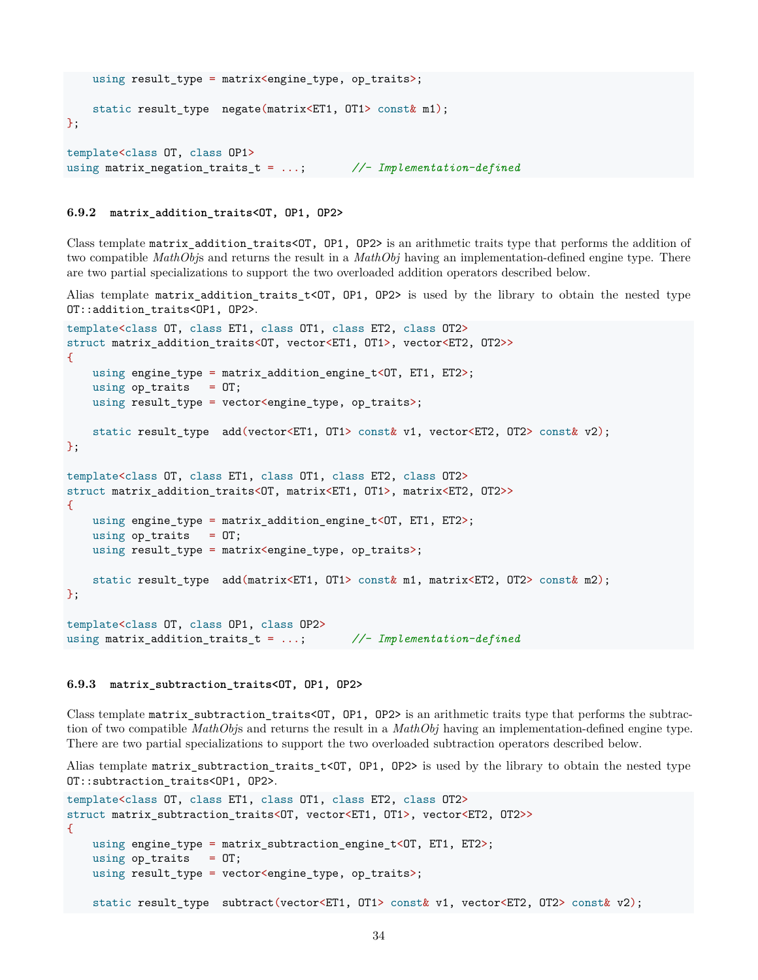```
using result_type = matrix<engine_type, op_traits>;
   static result_type negate(matrix<ET1, OT1> const& m1);
};
template<class OT, class OP1>
using matrix_negation_traits_t = ...; //- Implementation-defined
```
#### <span id="page-33-0"></span>**6.9.2 matrix\_addition\_traits<OT, OP1, OP2>**

Class template matrix\_addition\_traits<OT, OP1, OP2> is an arithmetic traits type that performs the addition of two compatible *MathObj*s and returns the result in a *MathObj* having an implementation-defined engine type. There are two partial specializations to support the two overloaded addition operators described below.

Alias template matrix\_addition\_traits\_t<OT, OP1, OP2> is used by the library to obtain the nested type OT::addition\_traits<OP1, OP2>.

```
template<class OT, class ET1, class OT1, class ET2, class OT2>
struct matrix_addition_traits<OT, vector<ET1, OT1>, vector<ET2, OT2>>
{
   using engine_type = matrix_addition_engine_t<OT, ET1, ET2>;
   using op\_traits = 0T;using result_type = vector<engine_type, op_traits>;
   static result_type add(vector<ET1, OT1> const& v1, vector<ET2, OT2> const& v2);
};
template<class OT, class ET1, class OT1, class ET2, class OT2>
struct matrix_addition_traits<OT, matrix<ET1, OT1>, matrix<ET2, OT2>>
{
   using engine_type = matrix_addition_engine_t<OT, ET1, ET2>;
   using op\_traits = 0T;using result_type = matrix<engine_type, op_traits>;
   static result type add(matrix<ET1, OT1> const& m1, matrix<ET2, OT2> const& m2);
};
template<class OT, class OP1, class OP2>
```
#### <span id="page-33-1"></span>**6.9.3 matrix\_subtraction\_traits<OT, OP1, OP2>**

Class template matrix\_subtraction\_traits<OT, OP1, OP2> is an arithmetic traits type that performs the subtraction of two compatible *MathObj*s and returns the result in a *MathObj* having an implementation-defined engine type. There are two partial specializations to support the two overloaded subtraction operators described below.

Alias template matrix\_subtraction\_traits\_t<OT, OP1, OP2> is used by the library to obtain the nested type OT::subtraction\_traits<OP1, OP2>.

```
template<class OT, class ET1, class OT1, class ET2, class OT2>
struct matrix_subtraction_traits<OT, vector<ET1, OT1>, vector<ET2, OT2>>
{
   using engine_type = matrix_subtraction_engine_t<OT, ET1, ET2>;
   using op\_traits = 0T;using result_type = vector<engine_type, op_traits>;
   static result_type subtract(vector<ET1, OT1> const& v1, vector<ET2, OT2> const& v2);
```
using matrix\_addition\_traits\_t = ...; *//- Implementation-defined*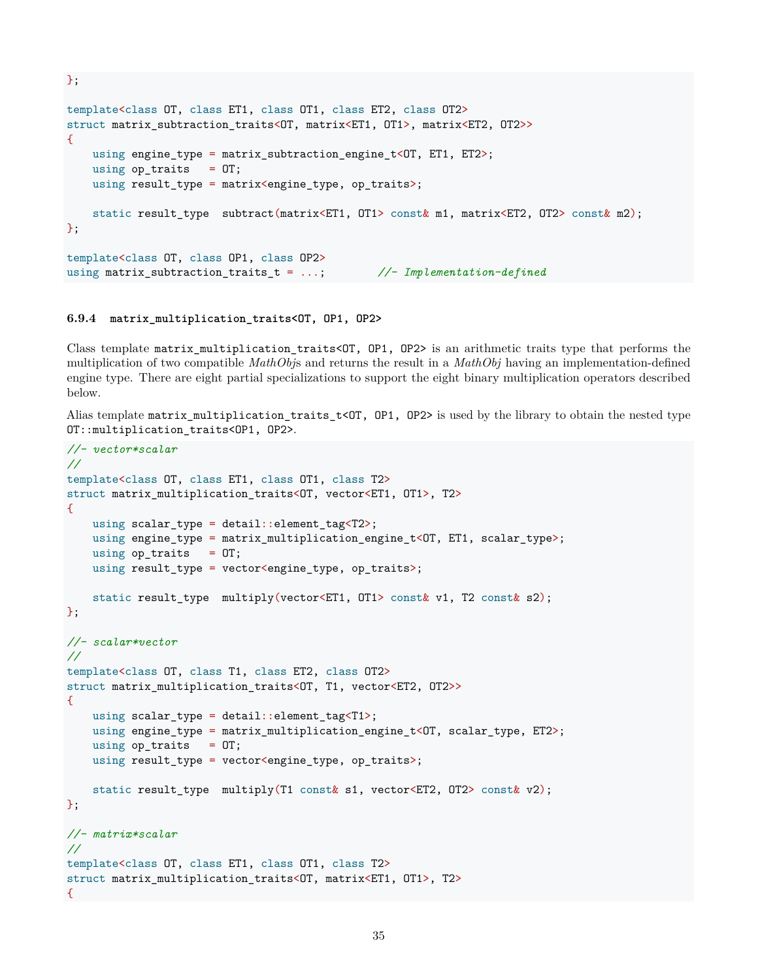```
template<class OT, class ET1, class OT1, class ET2, class OT2>
struct matrix subtraction traits<OT, matrix<ET1, OT1>, matrix<ET2, OT2>>
\mathcal{L}using engine_type = matrix_subtraction_engine_t<OT, ET1, ET2>;
   using op\_traits = 0T;using result_type = matrix<engine_type, op_traits>;
   static result_type subtract(matrix<ET1, OT1> const& m1, matrix<ET2, OT2> const& m2);
};
template<class OT, class OP1, class OP2>
using matrix_subtraction_traits_t = ...; //- Implementation-defined
```
#### <span id="page-34-0"></span>**6.9.4 matrix\_multiplication\_traits<OT, OP1, OP2>**

};

Class template matrix\_multiplication\_traits<OT, OP1, OP2> is an arithmetic traits type that performs the multiplication of two compatible *MathObj*s and returns the result in a *MathObj* having an implementation-defined engine type. There are eight partial specializations to support the eight binary multiplication operators described below.

Alias template matrix\_multiplication\_traits\_t<OT, OP1, OP2> is used by the library to obtain the nested type OT::multiplication\_traits<OP1, OP2>.

```
//- vector*scalar
//
template<class OT, class ET1, class OT1, class T2>
struct matrix_multiplication_traits<OT, vector<ET1, OT1>, T2>
{
    using scalar_type = detail::element_tag<T2>;
   using engine_type = matrix_multiplication_engine_t<OT, ET1, scalar_type>;
   using op\_traits = 0T;using result_type = vector<engine_type, op_traits>;
    static result_type multiply(vector<ET1, OT1> const& v1, T2 const& s2);
};
//- scalar*vector
//
template<class OT, class T1, class ET2, class OT2>
struct matrix_multiplication_traits<OT, T1, vector<ET2, OT2>>
\mathcal{L}using scalar_type = detail::element_tag<T1>;
    using engine_type = matrix_multiplication_engine_t<OT, scalar_type, ET2>;
    using op\_traits = 0T;using result_type = vector<engine_type, op_traits>;
    static result_type multiply(T1 const& s1, vector<ET2, OT2> const& v2);
};
//- matrix*scalar
//
template<class OT, class ET1, class OT1, class T2>
struct matrix_multiplication_traits<OT, matrix<ET1, OT1>, T2>
\mathcal{L}
```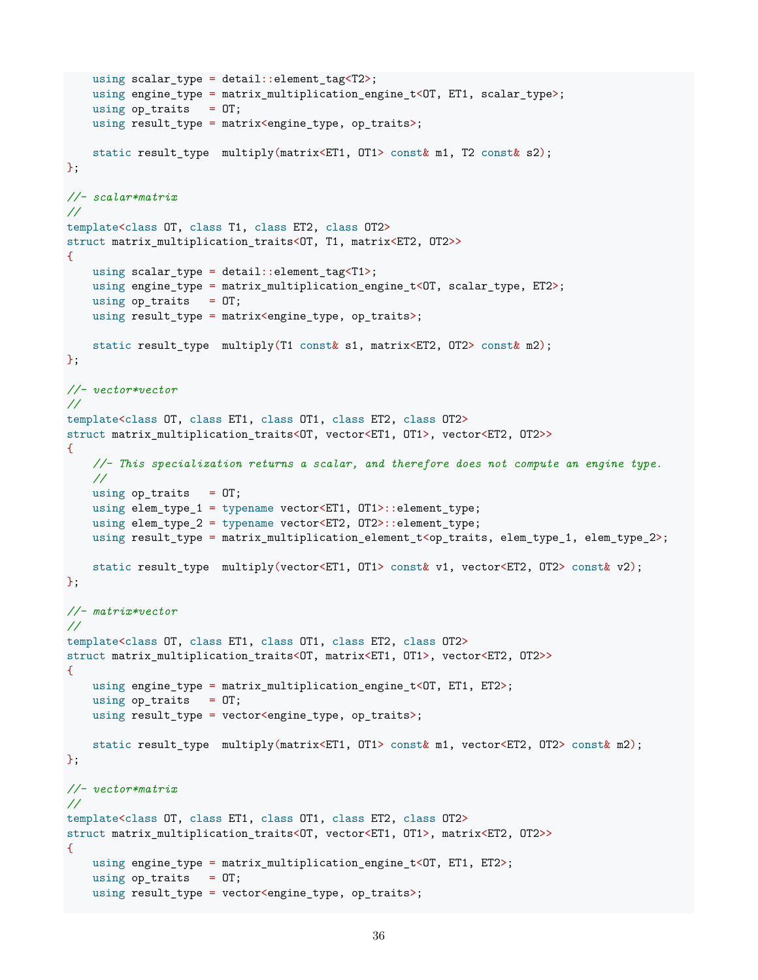```
using scalar_type = detail::element_tag<T2>;
   using engine_type = matrix_multiplication_engine_t<OT, ET1, scalar_type>;
   using op\_truits = 0T;using result_type = matrix<engine_type, op_traits>;
   static result_type multiply(matrix<ET1, OT1> const& m1, T2 const& s2);
};
//- scalar*matrix
//
template<class OT, class T1, class ET2, class OT2>
struct matrix_multiplication_traits<OT, T1, matrix<ET2, OT2>>
\mathcal{L}using scalar_type = detail::element_tag<T1>;
   using engine_type = matrix_multiplication_engine_t<OT, scalar_type, ET2>;
   using op\_traits = 0T;using result_type = matrix<engine_type, op_traits>;
   static result_type multiply(T1 const& s1, matrix<ET2, OT2> const& m2);
};
//- vector*vector
//
template<class OT, class ET1, class OT1, class ET2, class OT2>
struct matrix_multiplication_traits<OT, vector<ET1, OT1>, vector<ET2, OT2>>
{
   //- This specialization returns a scalar, and therefore does not compute an engine type.
   //
   using op\_traits = 0T;using elem_type_1 = typename vector<ET1, OT1>::element_type;
   using elem_type_2 = typename vector<ET2, OT2>::element type;
   using result_type = matrix_multiplication_element_t<op_traits, elem_type_1, elem_type_2>;
   static result_type multiply(vector<ET1, OT1> const& v1, vector<ET2, OT2> const& v2);
};
//- matrix*vector
//
template<class OT, class ET1, class OT1, class ET2, class OT2>
struct matrix multiplication traits<OT, matrix<ET1, OT1>, vector<ET2, OT2>>
{
   using engine_type = matrix_multiplication_engine_t<OT, ET1, ET2>;
   using op\_traits = 0T;using result_type = vector<engine_type, op_traits>;
   static result_type multiply(matrix<ET1, OT1> const& m1, vector<ET2, OT2> const& m2);
};
//- vector*matrix
//
template<class OT, class ET1, class OT1, class ET2, class OT2>
struct matrix multiplication traits<OT, vector<ET1, OT1>, matrix<ET2, OT2>>
{
   using engine_type = matrix_multiplication_engine_t<OT, ET1, ET2>;
   using op\_traits = 0T;using result_type = vector<engine_type, op_traits>;
```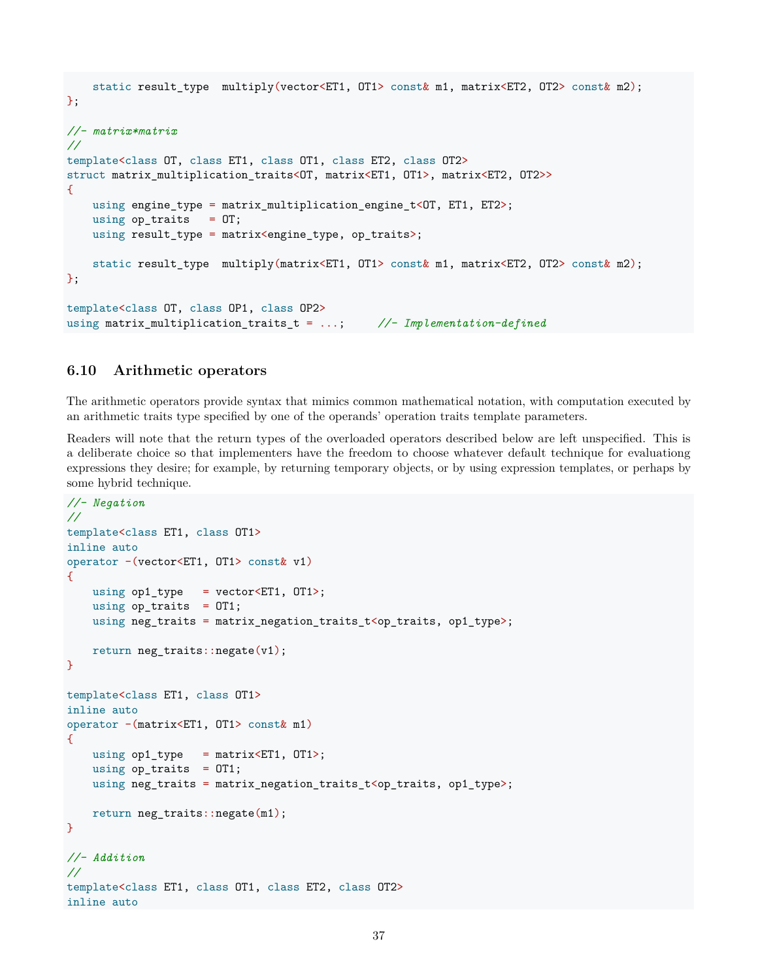```
static result_type multiply(vector<ET1, OT1> const& m1, matrix<ET2, OT2> const& m2);
};
//- matrix*matrix
//
template<class OT, class ET1, class OT1, class ET2, class OT2>
struct matrix_multiplication_traits<OT, matrix<ET1, OT1>, matrix<ET2, OT2>>
{
   using engine_type = matrix_multiplication_engine_t<OT, ET1, ET2>;
   using op\_traits = 0T;using result_type = matrix<engine_type, op_traits>;
   static result_type multiply(matrix<ET1, OT1> const& m1, matrix<ET2, OT2> const& m2);
};
template<class OT, class OP1, class OP2>
using matrix_multiplication_traits_t = ...; //- Implementation-defined
```
### <span id="page-36-0"></span>**6.10 Arithmetic operators**

The arithmetic operators provide syntax that mimics common mathematical notation, with computation executed by an arithmetic traits type specified by one of the operands' operation traits template parameters.

Readers will note that the return types of the overloaded operators described below are left unspecified. This is a deliberate choice so that implementers have the freedom to choose whatever default technique for evaluationg expressions they desire; for example, by returning temporary objects, or by using expression templates, or perhaps by some hybrid technique.

```
//- Negation
//
template<class ET1, class OT1>
inline auto
operator -(vector<ET1, OT1> const& v1)
{
   using op1_type = vector<ET1, OT1);
   using op\_traits = OT1;
   using neg traits = matrix negation traits t<op traits, op1 type>;
   return neg_traits::negate(v1);
}
template<class ET1, class OT1>
inline auto
operator -(matrix<ET1, OT1> const& m1)
{
   using op1_type = matrix<ET1, OT1>;
   using op\_traits = OT1;
   using neg\_trails = matrix\_negation\_trails\_t < op\_trails, op1_type;
   return neg_traits::negate(m1);
}
//- Addition
//
template<class ET1, class OT1, class ET2, class OT2>
inline auto
```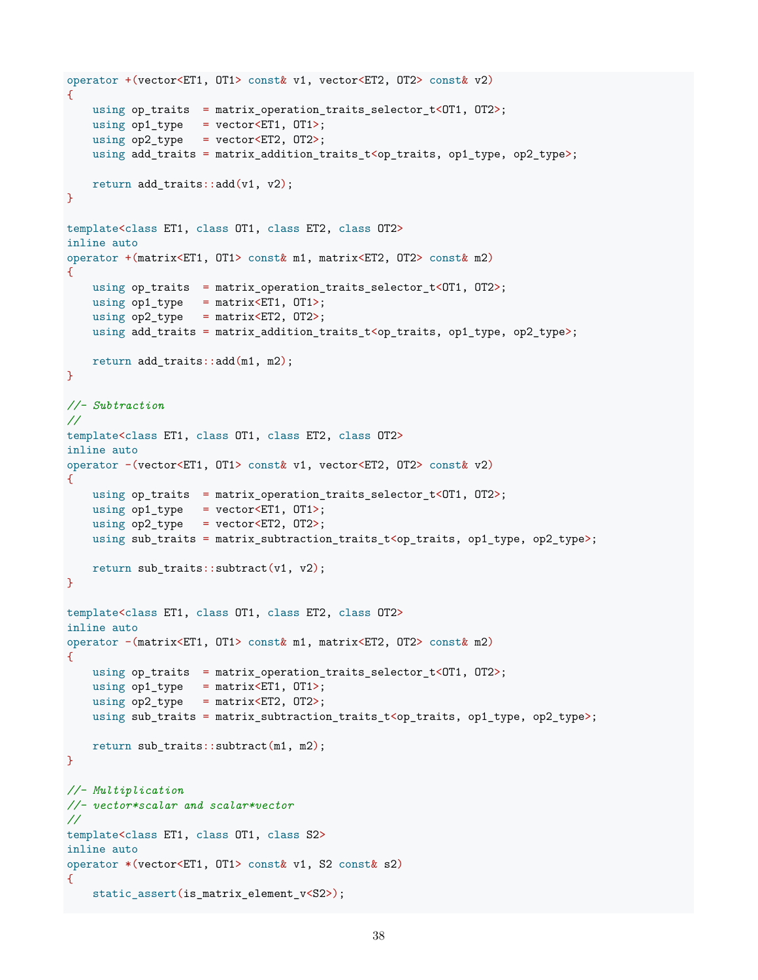```
operator +(vector<ET1, OT1> const& v1, vector<ET2, OT2> const& v2)
{
   using op_traits = matrix_operation_traits_selector_t<0T1, 0T2>;
   using op1_type = vector<ET1, 0T1;
   using op2_type = vector<ET2, OT2);
   using add_traits = matrix_addition_traits_t<op_traits, op1_type, op2_type>;
   return add_traits::add(v1, v2);
}
template<class ET1, class OT1, class ET2, class OT2>
inline auto
operator +(matrix<ET1, OT1> const& m1, matrix<ET2, OT2> const& m2)
\mathcal{L}using op_traits = matrix_operation_traits_selector_t<OT1, OT2>;
   using op1_type = matrix<ET1, OT1>;
   using op2_type = matrix<ET2, OT2;
   using add_traits = matrix_addition_traits_t<op_traits, op1_type, op2_type>;
   return add_traits::add(m1, m2);
}
//- Subtraction
//
template<class ET1, class OT1, class ET2, class OT2>
inline auto
operator -(vector<ET1, OT1> const& v1, vector<ET2, OT2> const& v2)
\mathcal{L}using op_traits = matrix_operation_traits_selector_t<OT1, OT2>;
   using op1_type = vector<ET1, OT1>;
   using op2_type = vector<ET2, OT2>;
   using sub_traits = matrix_subtraction_traits_t<op_traits, op1_type, op2_type>;
   return sub_traits::subtract(v1, v2);
}
template<class ET1, class OT1, class ET2, class OT2>
inline auto
operator -(matrix<ET1, OT1> const& m1, matrix<ET2, OT2> const& m2)
{
   using op_traits = matrix_operation_traits_selector_t<0T1, 0T2>;
   using op1_type = matrix<ET1, OT1>;
   using op2_type = matrix<ET2, OT2;
   using sub_traits = matrix_subtraction_traits_t<op_traits, op1_type, op2_type>;
   return sub_traits::subtract(m1, m2);
}
//- Multiplication
//- vector*scalar and scalar*vector
//
template<class ET1, class OT1, class S2>
inline auto
operator *(vector<ET1, OT1> const& v1, S2 const& s2)
{
   static_assert(is_matrix_element_v<S2>);
```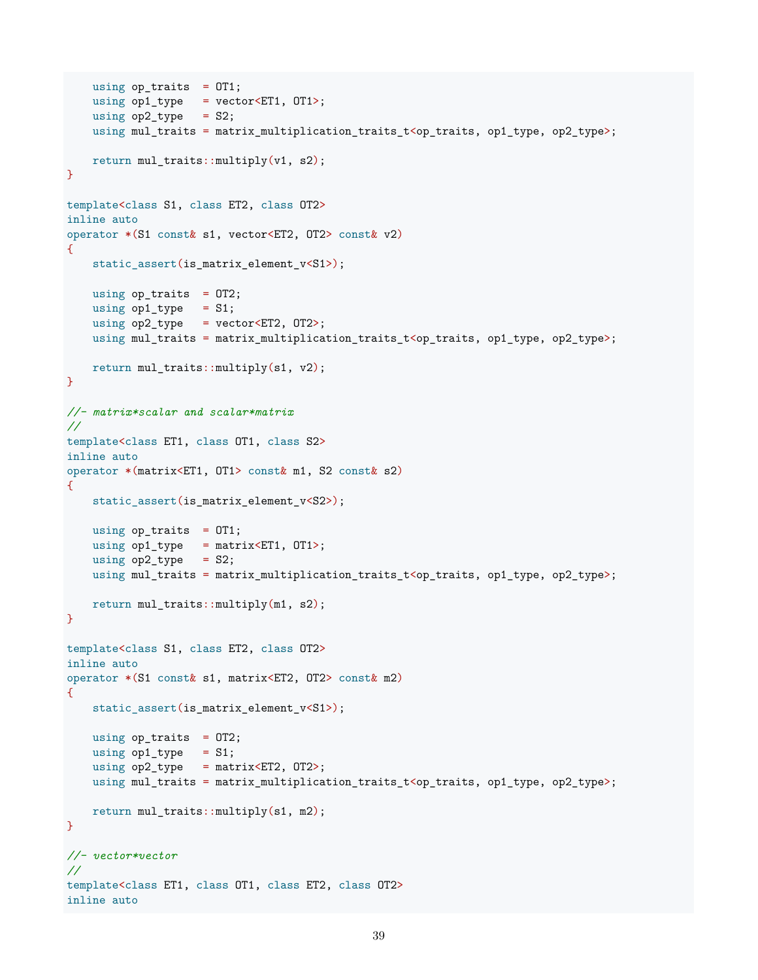```
using op\_traits = OT1;
   using op1_type = vector<ET1, OT1>;
    using op2_type = S2;using mul_traits = matrix_multiplication_traits_t<op_traits, op1_type, op2_type>;
   return mul_traits::multiply(v1, s2);
}
template<class S1, class ET2, class OT2>
inline auto
operator *(S1 const& s1, vector<ET2, OT2> const& v2)
{
    static_assert(is_matrix_element_v<S1>);
   using op\_traits = 0T2;
   using op1_type = S1;using op2_type = vector<ET2, 0T2>;
   using mul_traits = matrix_multiplication_traits_t<op_traits, op1_type, op2_type>;
   return mul_traits::multiply(s1, v2);
}
//- matrix*scalar and scalar*matrix
//
template<class ET1, class OT1, class S2>
inline auto
operator *(matrix<ET1, OT1> const& m1, S2 const& s2)
{
   static_assert(is_matrix_element_v<S2>);
   using op\_traits = OT1;
   using op1_type = matrix<ET1, OT1);
   using op2_type = S2;using mul_traits = matrix_multiplication_traits_t<op_traits, op1_type, op2_type>;
   return mul_traits::multiply(m1, s2);
}
template<class S1, class ET2, class OT2>
inline auto
operator *(S1 const& s1, matrix<ET2, OT2> const& m2)
{
    static_assert(is_matrix_element_v<S1>);
   using op\_traits = OT2;
   using op1_type = S1;using op2_type = matrix<ET2, OT2;
   using mul_traits = matrix_multiplication_traits_t<op_traits, op1_type, op2_type>;
   return mul_traits::multiply(s1, m2);
}
//- vector*vector
//
template<class ET1, class OT1, class ET2, class OT2>
inline auto
```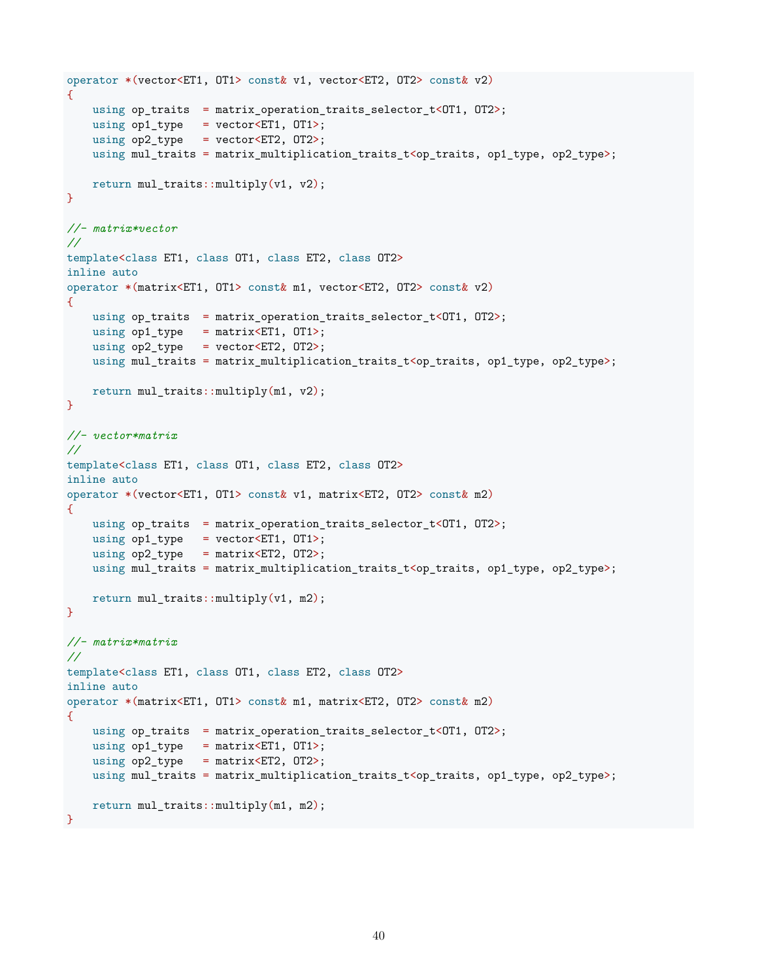```
operator *(vector<ET1, OT1> const& v1, vector<ET2, OT2> const& v2)
{
   using op_traits = matrix_operation_traits_selector_t<OT1, OT2>;
   using op1_type = vector<ET1, 0T1;
   using op2_type = vector<ET2, OT2);
   using mul_traits = matrix_multiplication_traits_t<op_traits, op1_type, op2_type>;
   return mul_traits::multiply(v1, v2);
}
//- matrix*vector
//
template<class ET1, class OT1, class ET2, class OT2>
inline auto
operator *(matrix<ET1, OT1> const& m1, vector<ET2, OT2> const& v2)
\mathcal{L}using op_traits = matrix_operation_traits_selector_t<OT1, OT2>;
   using op1_type = matrix<ET1, OT1);
   using op2_type = vector<ET2, 0T2>;
   using mul_traits = matrix_multiplication_traits_t<op_traits, op1_type, op2_type>;
   return mul_traits::multiply(m1, v2);
}
//- vector*matrix
//
template<class ET1, class OT1, class ET2, class OT2>
inline auto
operator *(vector<ET1, OT1> const& v1, matrix<ET2, OT2> const& m2)
{
   using op_traits = matrix_operation_traits_selector_t<0T1, 0T2>;
   using op1_type = vector<ET1, OT1);
   using op2_type = matrix<ET2, OT2;
   using mul_traits = matrix_multiplication_traits_t<op_traits, op1_type, op2_type>;
   return mul_traits::multiply(v1, m2);
}
//- matrix*matrix
//
template<class ET1, class OT1, class ET2, class OT2>
inline auto
operator *(matrix<ET1, OT1> const& m1, matrix<ET2, OT2> const& m2)
\mathcal{L}using op_traits = matrix_operation_traits_selector_t<OT1, OT2>;
   using op1_type = matrix<ET1, OT1);
   using op2_type = matrix<ET2, OT2;
   using mul_traits = matrix_multiplication_traits_t<op_traits, op1_type, op2_type>;
   return mul_traits::multiply(m1, m2);
}
```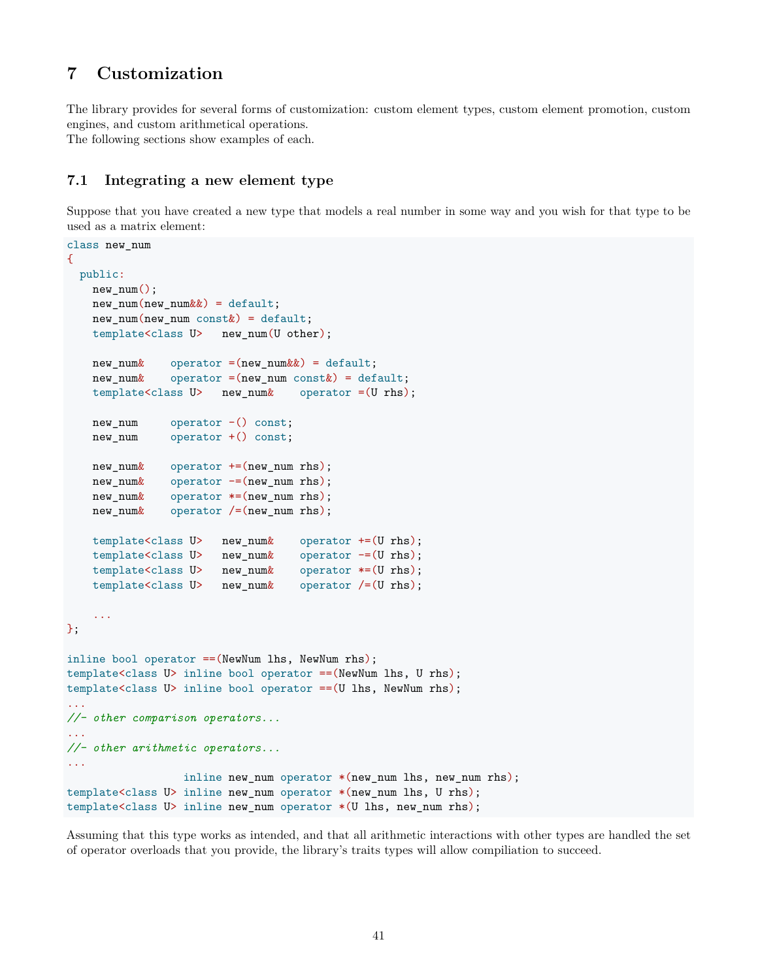# <span id="page-40-0"></span>**7 Customization**

The library provides for several forms of customization: custom element types, custom element promotion, custom engines, and custom arithmetical operations.

The following sections show examples of each.

### <span id="page-40-1"></span>**7.1 Integrating a new element type**

Suppose that you have created a new type that models a real number in some way and you wish for that type to be used as a matrix element:

```
class new_num
\mathcal{L}public:
   new_num();
   new num(new num\&&{}) = default;
   new_number(new_num const ) = default;template<class U> new_num(U other);
   new num \& operator =(new num\&) = default;
   new\_num\& operator =(new_num const ) = default;
   template<class U> new_num& operator =(U rhs);
   new_num operator -() const;
   new_num operator +() const;
   new num \& operator +=(new num rhs);
   new\_num\& operator =(new_num rhs);
   new_num& operator *=(new_num rhs);
   new_num& operator /=(new_num rhs);
   template<class U> new_num& operator +=(U rhs);
   template<class U> new_num& operator -=(U rhs);
   template<class U> new_num& operator *=(U rhs);
   template<class U> new_num& operator /=(U rhs);
    ...
};
inline bool operator ==(NewNum lhs, NewNum rhs);
template<class U> inline bool operator ==(NewNum lhs, U rhs);
template<class U> inline bool operator ==(U lhs, NewNum rhs);
...
//- other comparison operators...
...
//- other arithmetic operators...
...
                 inline new_num operator *(new_num lhs, new_num rhs);
template<class U> inline new_num operator *(new_num lhs, U rhs);
template<class U> inline new_num operator *(U lhs, new_num rhs);
```
Assuming that this type works as intended, and that all arithmetic interactions with other types are handled the set of operator overloads that you provide, the library's traits types will allow compiliation to succeed.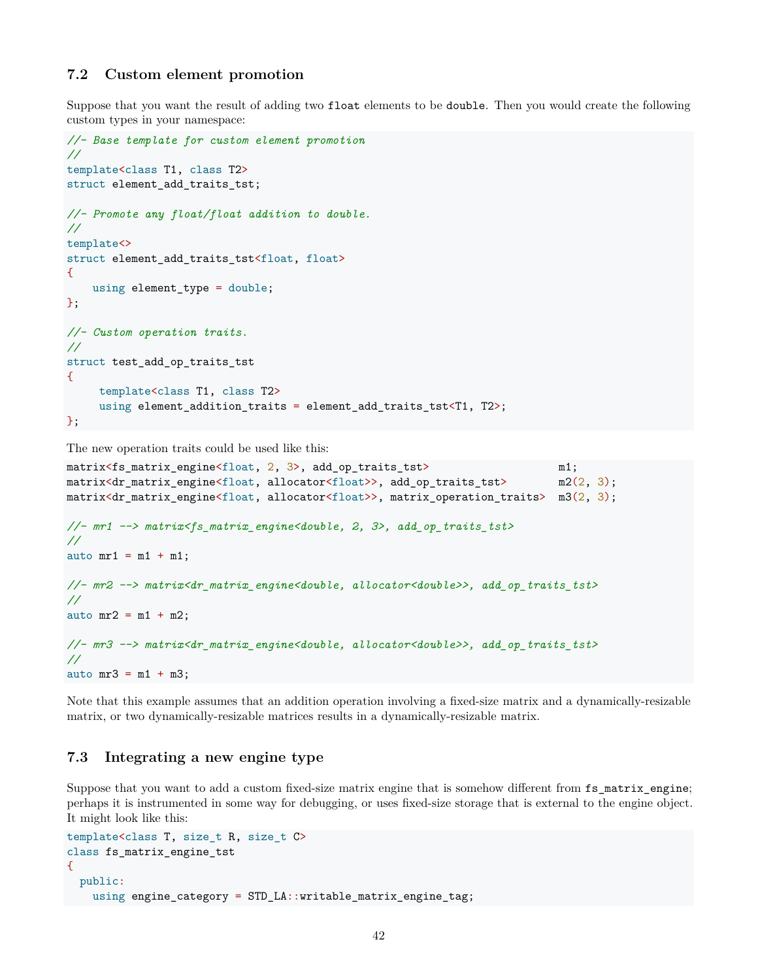### <span id="page-41-0"></span>**7.2 Custom element promotion**

Suppose that you want the result of adding two float elements to be double. Then you would create the following custom types in your namespace:

```
//- Base template for custom element promotion
//
template<class T1, class T2>
struct element_add_traits_tst;
//- Promote any float/float addition to double.
//
template<>
struct element_add_traits_tst<float, float>
{
   using element type = double;
};
//- Custom operation traits.
//
struct test_add_op_traits_tst
{
     template<class T1, class T2>
     using element_addition_traits = element_add_traits_tst<T1, T2>;
};
```
The new operation traits could be used like this:

```
matrix<fs matrix engine<float, 2, 3>, add op traits tst> m1;
matrix<dr_matrix_engine<float, allocator<float>>, add_op_traits_tst> m2(2, 3);
matrix<dr_matrix_engine<float, allocator<float>>, matrix_operation_traits> m3(2, 3);
//- mr1 --> matrix<fs_matrix_engine<double, 2, 3>, add_op_traits_tst>
//
auto mrt = m1 + m1;
//- mr2 --> matrix<dr_matrix_engine<double, allocator<double>>, add_op_traits_tst>
//
auto mr2 = m1 + m2;
//- mr3 --> matrix<dr_matrix_engine<double, allocator<double>>, add_op_traits_tst>
//
auto mr3 = m1 + m3;
```
Note that this example assumes that an addition operation involving a fixed-size matrix and a dynamically-resizable matrix, or two dynamically-resizable matrices results in a dynamically-resizable matrix.

#### <span id="page-41-1"></span>**7.3 Integrating a new engine type**

Suppose that you want to add a custom fixed-size matrix engine that is somehow different from  $fs\_matrix$ engine; perhaps it is instrumented in some way for debugging, or uses fixed-size storage that is external to the engine object. It might look like this:

```
template<class T, size_t R, size_t C>
class fs_matrix_engine_tst
{
 public:
   using engine_category = STD_LA::writable_matrix_engine_tag;
```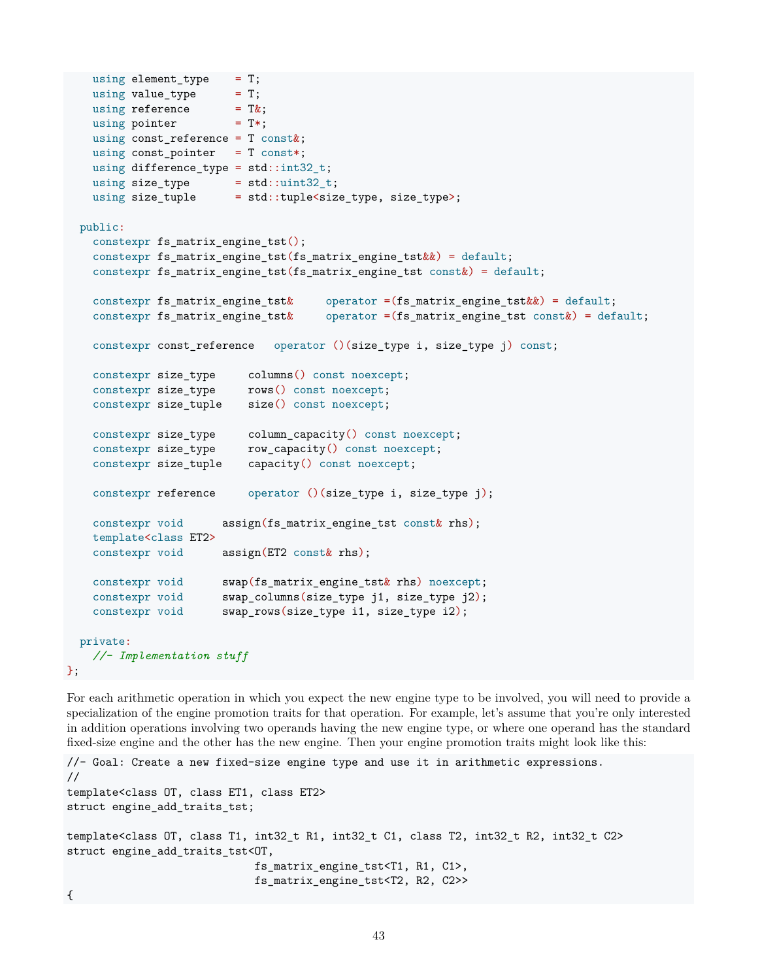```
using element type = T;
   using value_type = T;using reference = T(x;using pointer = T^*;
   using const_reference = T const&;
   using const pointer = T const*;
   using difference_type = std::int32_t;
   using size type = std::uint32 t;
   using size_tuple = std::tuple \le size_type, size_type>;
 public:
   constexpr fs_matrix_engine_tst();
   constexpr fs_matrix_engine_tst(fs_matrix_engine_tst&&) = default;
   constexpr fs_matrix_engine_tst(fs_matrix_engine_tst const&) = default;
   constexpr fs_matrix_engine_tst& operator =(fs_matrix_engine_tst&&) = default;
   constexpr fs_matrix_engine_tst& operator =(fs_matrix_engine_tst const&) = default;
   constexpr const_reference operator ()(size_type i, size_type j) const;
   constexpr size_type columns() const noexcept;
   constexpr size_type rows() const noexcept;
   constexpr size tuple size() const noexcept;
   constexpr size_type column_capacity() const noexcept;
   constexpr size_type row_capacity() const noexcept;
   constexpr size_tuple capacity() const noexcept;
   constexpr reference operator ()(size_type i, size_type j);
   constexpr void assign(fs_matrix_engine_tst const& rhs);
   template<class ET2>
   constexpr void assign(ET2 const& rhs);
   constexpr void swap(fs_matrix_engine_tst& rhs) noexcept;
   constexpr void swap_columns(size_type j1, size_type j2);
   constexpr void swap_rows(size_type i1, size_type i2);
 private:
   //- Implementation stuff
};
```
For each arithmetic operation in which you expect the new engine type to be involved, you will need to provide a specialization of the engine promotion traits for that operation. For example, let's assume that you're only interested in addition operations involving two operands having the new engine type, or where one operand has the standard fixed-size engine and the other has the new engine. Then your engine promotion traits might look like this:

```
//- Goal: Create a new fixed-size engine type and use it in arithmetic expressions.
//
template<class OT, class ET1, class ET2>
struct engine_add_traits_tst;
template<class OT, class T1, int32_t R1, int32_t C1, class T2, int32_t R2, int32_t C2>
struct engine_add_traits_tst<OT,
                             fs_matrix_engine_tst<T1, R1, C1>,
                             fs_matrix_engine_tst<T2, R2, C2>>
{
```

```
43
```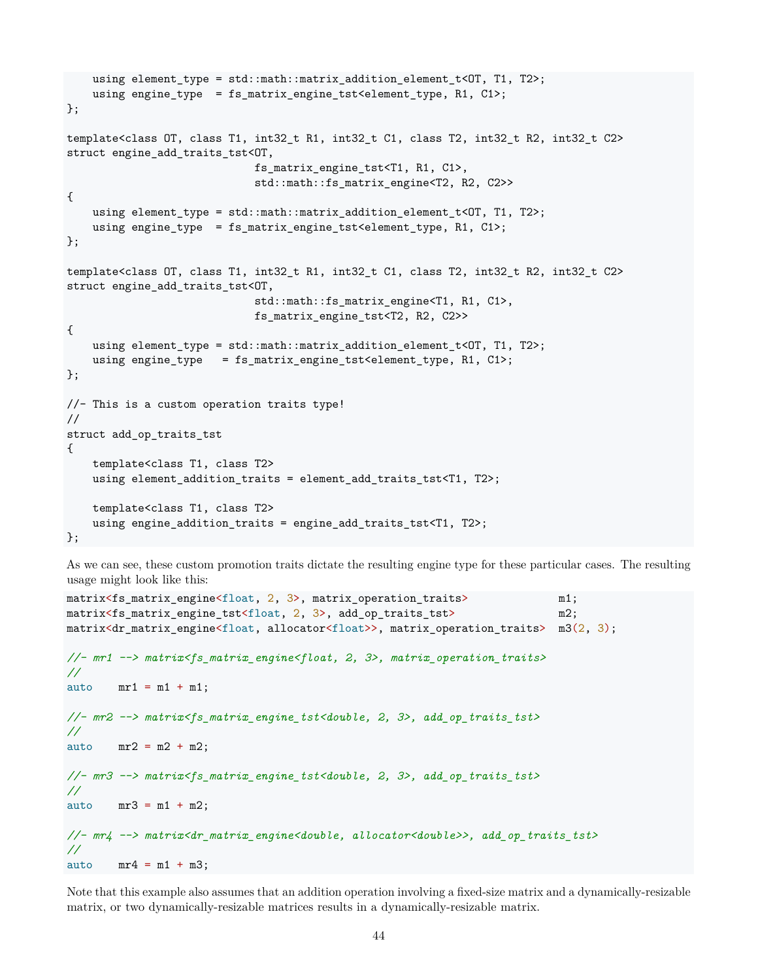```
using element_type = std::math::matrix_addition_element_t<OT, T1, T2>;
   using engine_type = fs_matrix_engine_tst<element_type, R1, C1>;
};
template<class OT, class T1, int32_t R1, int32_t C1, class T2, int32_t R2, int32_t C2>
struct engine_add_traits_tst<OT,
                             fs_matrix_engine_tst<T1, R1, C1>,
                             std::math::fs_matrix_engine<T2, R2, C2>>
{
   using element_type = std::math::matrix_addition_element_t<OT, T1, T2>;
   using engine_type = fs_matrix_engine_tst<element_type, R1, C1>;
};
template<class OT, class T1, int32_t R1, int32_t C1, class T2, int32_t R2, int32_t C2>
struct engine_add_traits_tst<OT,
                             std::math::fs_matrix_engine<T1, R1, C1>,
                             fs_matrix_engine_tst<T2, R2, C2>>
{
   using element_type = std::math::matrix_addition_element_t<OT, T1, T2>;
   using engine_type = fs_matrix_engine_tst<element_type, R1, C1>;
};
//- This is a custom operation traits type!
//
struct add_op_traits_tst
{
   template<class T1, class T2>
   using element_addition_traits = element_add_traits_tst<T1, T2>;
   template<class T1, class T2>
   using engine_addition_traits = engine_add_traits_tst<T1, T2>;
};
```
As we can see, these custom promotion traits dictate the resulting engine type for these particular cases. The resulting usage might look like this:

```
matrix<fs_matrix_engine<float, 2, 3>, matrix_operation_traits> m1;
matrix<fs_matrix_engine_tst<float, 2, 3>, add_op_traits_tst> m2;
matrix<dr_matrix_engine<float, allocator<float>>, matrix_operation_traits> m3(2, 3);
//- mr1 --> matrix<fs_matrix_engine<float, 2, 3>, matrix_operation_traits>
//
auto mr1 = m1 + m1;//- mr2 --> matrix<fs_matrix_engine_tst<double, 2, 3>, add_op_traits_tst>
//
auto mr2 = m2 + m2;
//- mr3 --> matrix<fs_matrix_engine_tst<double, 2, 3>, add_op_traits_tst>
//
auto mr3 = m1 + m2;
//- mr4 --> matrix<dr_matrix_engine<double, allocator<double>>, add_op_traits_tst>
//
auto mr4 = m1 + m3;
```
Note that this example also assumes that an addition operation involving a fixed-size matrix and a dynamically-resizable matrix, or two dynamically-resizable matrices results in a dynamically-resizable matrix.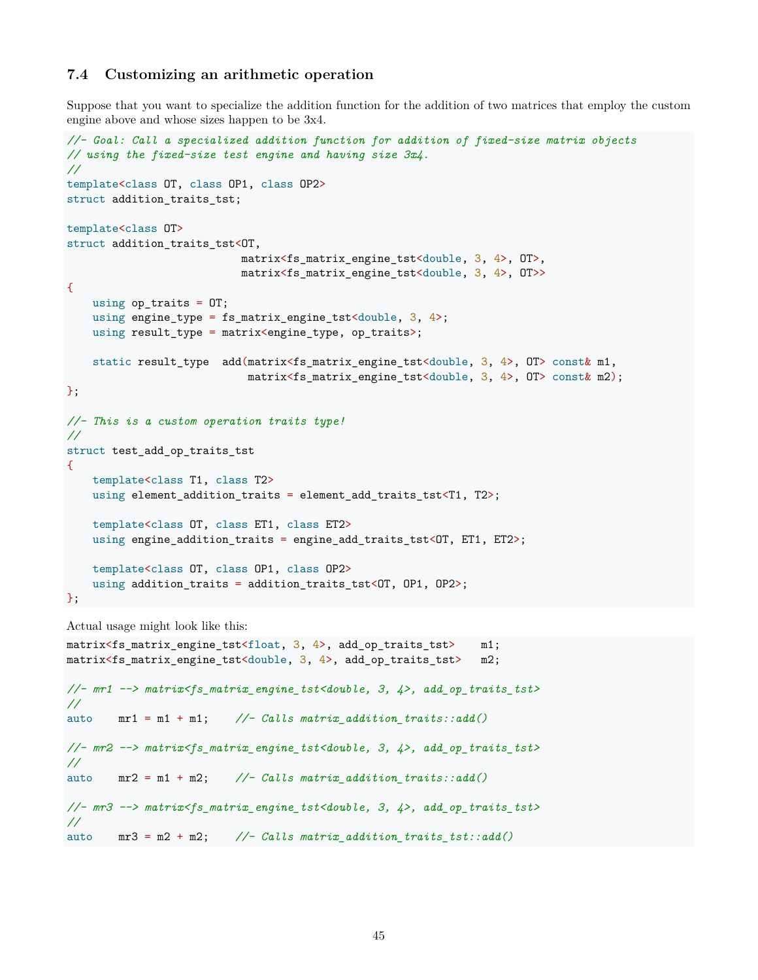### <span id="page-44-0"></span>**7.4 Customizing an arithmetic operation**

Suppose that you want to specialize the addition function for the addition of two matrices that employ the custom engine above and whose sizes happen to be 3x4.

```
//- Goal: Call a specialized addition function for addition of fixed-size matrix objects
// using the fixed-size test engine and having size 3x4.
//
template<class OT, class OP1, class OP2>
struct addition_traits_tst;
template<class OT>
struct addition_traits_tst<OT,
                           matrix<fs_matrix_engine_tst<double, 3, 4>, OT>,
                           matrix<fs_matrix_engine_tst<double, 3, 4>, OT>>
{
    using op_traits = OT;
    using engine_type = fs_matrix_engine_tst<double, 3, 4>;
    using result_type = matrix<engine_type, op_traits>;
    static result_type add(matrix<fs_matrix_engine_tst<double, 3, 4>, OT> const& m1,
                            matrix<fs_matrix_engine_tst<double, 3, 4>, OT> const& m2);
};
//- This is a custom operation traits type!
//
struct test_add_op_traits_tst
\mathcal{L}template<class T1, class T2>
    using element_addition_traits = element_add_traits_tst<T1, T2>;
    template<class OT, class ET1, class ET2>
    using engine_addition_traits = engine_add_traits_tst<OT, ET1, ET2>;
   template<class OT, class OP1, class OP2>
   using addition_traits = addition_traits_tst<OT, OP1, OP2>;
};
Actual usage might look like this:
matrix<fs_matrix_engine_tst<float, 3, 4>, add_op_traits_tst> m1;
matrix<fs_matrix_engine_tst<double, 3, 4>, add_op_traits_tst> m2;
//- mr1 --> matrix<fs_matrix_engine_tst<double, 3, 4>, add_op_traits_tst>
//
auto mr1 = m1 + m1; //- Calls matrix_addition_traits::add()
//- mr2 --> matrix<fs_matrix_engine_tst<double, 3, 4>, add_op_traits_tst>
//
auto mr2 = m1 + m2; //- Calls matrix_addition_traits::add()
//- mr3 --> matrix<fs_matrix_engine_tst<double, 3, 4>, add_op_traits_tst>
```

```
auto mr3 = m2 + m2; //- Calls matrix_addition_traits_tst::add()
```
*//*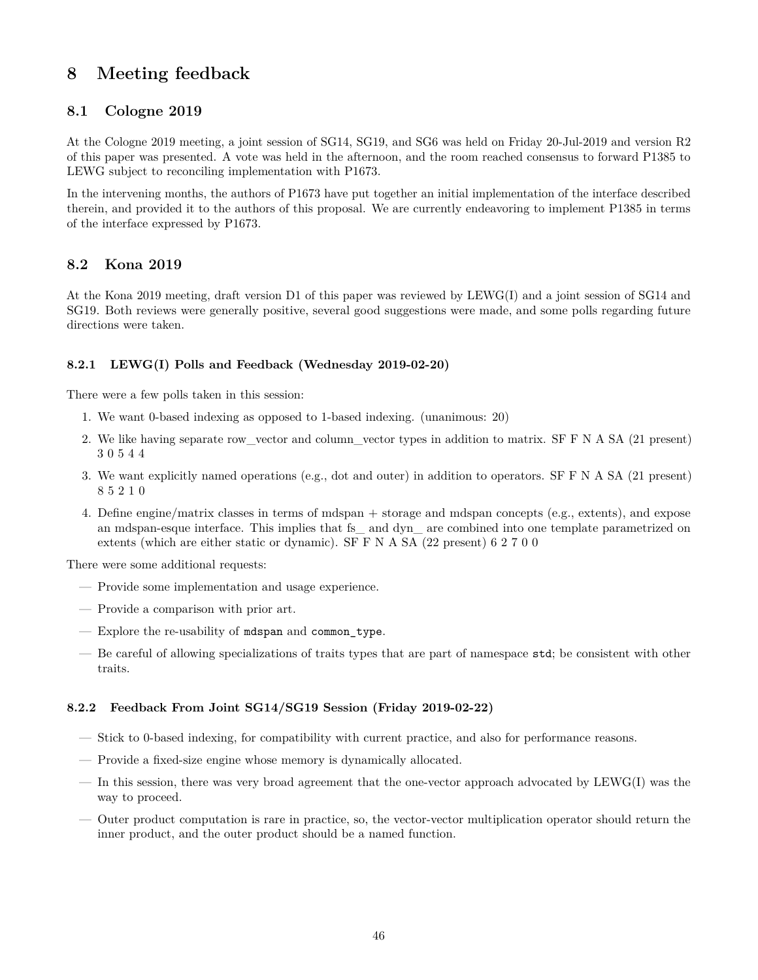# <span id="page-45-0"></span>**8 Meeting feedback**

## <span id="page-45-1"></span>**8.1 Cologne 2019**

At the Cologne 2019 meeting, a joint session of SG14, SG19, and SG6 was held on Friday 20-Jul-2019 and version R2 of this paper was presented. A vote was held in the afternoon, and the room reached consensus to forward P1385 to LEWG subject to reconciling implementation with P1673.

In the intervening months, the authors of P1673 have put together an initial implementation of the interface described therein, and provided it to the authors of this proposal. We are currently endeavoring to implement P1385 in terms of the interface expressed by P1673.

## <span id="page-45-2"></span>**8.2 Kona 2019**

At the Kona 2019 meeting, draft version D1 of this paper was reviewed by LEWG(I) and a joint session of SG14 and SG19. Both reviews were generally positive, several good suggestions were made, and some polls regarding future directions were taken.

### <span id="page-45-3"></span>**8.2.1 LEWG(I) Polls and Feedback (Wednesday 2019-02-20)**

There were a few polls taken in this session:

- 1. We want 0-based indexing as opposed to 1-based indexing. (unanimous: 20)
- 2. We like having separate row\_vector and column\_vector types in addition to matrix. SF F N A SA (21 present) 3 0 5 4 4
- 3. We want explicitly named operations (e.g., dot and outer) in addition to operators. SF F N A SA (21 present) 8 5 2 1 0
- 4. Define engine/matrix classes in terms of mdspan + storage and mdspan concepts (e.g., extents), and expose an mdspan-esque interface. This implies that fs\_ and dyn\_ are combined into one template parametrized on extents (which are either static or dynamic). SF F N A SA (22 present) 6 2 7 0 0

There were some additional requests:

- Provide some implementation and usage experience.
- Provide a comparison with prior art.
- Explore the re-usability of mdspan and common\_type.
- Be careful of allowing specializations of traits types that are part of namespace std; be consistent with other traits.

### <span id="page-45-4"></span>**8.2.2 Feedback From Joint SG14/SG19 Session (Friday 2019-02-22)**

- Stick to 0-based indexing, for compatibility with current practice, and also for performance reasons.
- Provide a fixed-size engine whose memory is dynamically allocated.
- In this session, there was very broad agreement that the one-vector approach advocated by LEWG(I) was the way to proceed.
- Outer product computation is rare in practice, so, the vector-vector multiplication operator should return the inner product, and the outer product should be a named function.